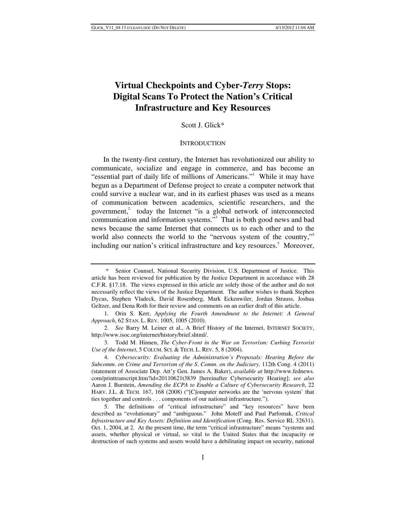# **Virtual Checkpoints and Cyber-***Terry* **Stops: Digital Scans To Protect the Nation's Critical Infrastructure and Key Resources**

Scott J. Glick\*

#### **INTRODUCTION**

In the twenty-first century, the Internet has revolutionized our ability to communicate, socialize and engage in commerce, and has become an "essential part of daily life of millions of Americans."<sup>1</sup> While it may have begun as a Department of Defense project to create a computer network that could survive a nuclear war, and in its earliest phases was used as a means of communication between academics, scientific researchers, and the government, $2$  today the Internet "is a global network of interconnected communication and information systems."<sup>3</sup> That is both good news and bad news because the same Internet that connects us to each other and to the world also connects the world to the "nervous system of the country,"<sup>4</sup> including our nation's critical infrastructure and key resources.<sup>5</sup> Moreover,

 <sup>\*</sup> Senior Counsel, National Security Division, U.S. Department of Justice. This article has been reviewed for publication by the Justice Department in accordance with 28 C.F.R. §17.18. The views expressed in this article are solely those of the author and do not necessarily reflect the views of the Justice Department. The author wishes to thank Stephen Dycus, Stephen Vladeck, David Rosenberg, Mark Eckenwiler, Jordan Strauss, Joshua Geltzer, and Dena Roth for their review and comments on an earlier draft of this article.

 <sup>1.</sup> Orin S. Kerr, *Applying the Fourth Amendment to the Internet: A General Approach*, 62 STAN. L. REV. 1005, 1005 (2010).

<sup>2.</sup> *See* Barry M. Leiner et al., A Brief History of the Internet, INTERNET SOCIETY, http://www.isoc.org/internet/history/brief.shtml/.

 <sup>3.</sup> Todd M. Hinnen, *The Cyber-Front in the War on Terrorism: Curbing Terrorist Use of the Internet*, 5 COLUM. SCI. & TECH. L. REV. 5, 8 (2004).

<sup>4.</sup> *Cybersecurity: Evaluating the Administration's Proposals: Hearing Before the Subcomm*. *on Crime and Terrorism of the S*. *Comm*. *on the Judiciary,* 112th Cong. 4 (2011) (statement of Associate Dep. Att'y Gen. James A. Baker), *available at* http://www.fednews. com/printtranscript.htm?id=20110621t3839 [hereinafter Cybersecurity Hearing]; *see also*  Aaron J. Burstein, *Amending the ECPA to Enable a Culture of Cybersecurity Research*, 22 HARV. J.L. & TECH. 167, 168 (2008) ("[C]omputer networks are the 'nervous system' that ties together and controls . . . components of our national infrastructure.").

 <sup>5.</sup> The definitions of "critical infrastructure" and "key resources" have been described as "evolutionary" and "ambiguous." John Moteff and Paul Parfomak, *Critical Infrastructure and Key Assets: Definition and Identification* (Cong. Res. Service RL 32631), Oct. 1, 2004, at 2. At the present time, the term "critical infrastructure" means "systems and assets, whether physical or virtual, so vital to the United States that the incapacity or destruction of such systems and assets would have a debilitating impact on security, national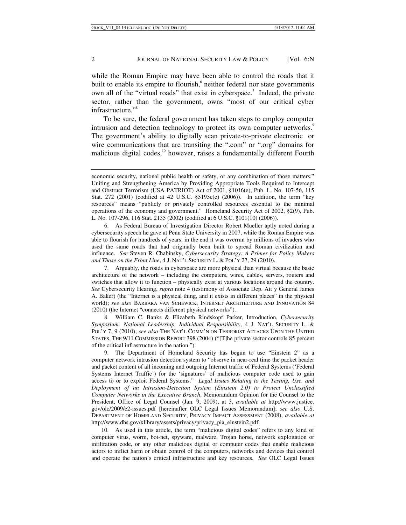while the Roman Empire may have been able to control the roads that it built to enable its empire to flourish,<sup>6</sup> neither federal nor state governments own all of the "virtual roads" that exist in cyberspace.<sup>7</sup> Indeed, the private sector, rather than the government, owns "most of our critical cyber infrastructure."<sup>8</sup>

To be sure, the federal government has taken steps to employ computer intrusion and detection technology to protect its own computer networks.<sup>9</sup> The government's ability to digitally scan private-to-private electronic or wire communications that are transiting the ".com" or ".org" domains for malicious digital codes,<sup>10</sup> however, raises a fundamentally different Fourth

 6. As Federal Bureau of Investigation Director Robert Mueller aptly noted during a cybersecurity speech he gave at Penn State University in 2007, while the Roman Empire was able to flourish for hundreds of years, in the end it was overrun by millions of invaders who used the same roads that had originally been built to spread Roman civilization and influence. *See* Steven R. Chabinsky, *Cybersecurity Strategy: A Primer for Policy Makers and Those on the Front Line*, 4 J. NAT'L SECURITY L. & POL'Y 27, 29 (2010).

 7. Arguably, the roads in cyberspace are more physical than virtual because the basic architecture of the network – including the computers, wires, cables, servers, routers and switches that allow it to function – physically exist at various locations around the country. *See* Cybersecurity Hearing, *supra* note 4 (testimony of Associate Dep. Att'y General James A. Baker) (the "Internet is a physical thing, and it exists in different places" in the physical world); *see also* BARBARA VAN SCHEWICK, INTERNET ARCHITECTURE AND INNOVATION 84 (2010) (the Internet "connects different physical networks").

 8. William C. Banks & Elizabeth Rindskopf Parker, Introduction, *Cybersecurity Symposium: National Leadership, Individual Responsibility*, 4 J. NAT'L SECURITY L. & POL'Y 7, 9 (2010); *see also* THE NAT'L COMM'N ON TERRORIST ATTACKS UPON THE UNITED STATES, THE 9/11 COMMISSION REPORT 398 (2004) ("[T]he private sector controls 85 percent of the critical infrastructure in the nation.").

 9. The Department of Homeland Security has begun to use "Einstein 2" as a computer network intrusion detection system to "observe in near-real time the packet header and packet content of all incoming and outgoing Internet traffic of Federal Systems ('Federal Systems Internet Traffic') for the 'signatures' of malicious computer code used to gain access to or to exploit Federal Systems." *Legal Issues Relating to the Testing, Use, and Deployment of an Intrusion-Detection System (Einstein 2.0) to Protect Unclassified Computer Networks in the Executive Branch*, Memorandum Opinion for the Counsel to the President, Office of Legal Counsel (Jan. 9, 2009), at 3, *available at* http://www.justice. gov/olc/2009/e2-issues.pdf [hereinafter OLC Legal Issues Memorandum]; *see also* U.S. DEPARTMENT OF HOMELAND SECURITY, PRIVACY IMPACT ASSESSMENT (2008), *available at* http://www.dhs.gov/xlibrary/assets/privacy/privacy\_pia\_einstein2.pdf.

 10. As used in this article, the term "malicious digital codes" refers to any kind of computer virus, worm, bot-net, spyware, malware, Trojan horse, network exploitation or infiltration code, or any other malicious digital or computer codes that enable malicious actors to inflict harm or obtain control of the computers, networks and devices that control and operate the nation's critical infrastructure and key resources. *See* OLC Legal Issues

economic security, national public health or safety, or any combination of those matters." Uniting and Strengthening America by Providing Appropriate Tools Required to Intercept and Obstruct Terrorism (USA PATRIOT) Act of 2001, §1016(e), Pub. L. No. 107-56, 115 Stat. 272 (2001) (codified at 42 U.S.C.  $\S5195c(e)$  (2006)). In addition, the term "key resources" means "publicly or privately controlled resources essential to the minimal operations of the economy and government." Homeland Security Act of 2002, §2(9), Pub. L. No. 107-296, 116 Stat. 2135 (2002) (codified at 6 U.S.C. §101(10) (2006)).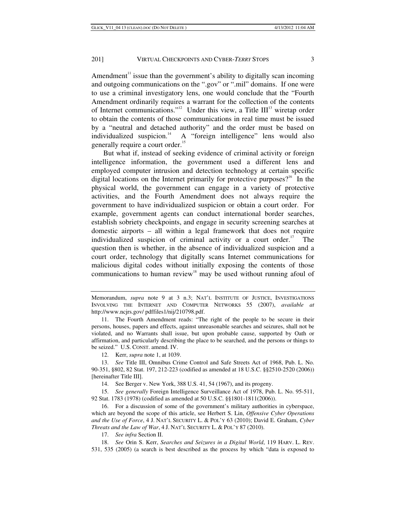Amendment<sup> $11$ </sup> issue than the government's ability to digitally scan incoming and outgoing communications on the ".gov" or ".mil" domains. If one were to use a criminal investigatory lens, one would conclude that the "Fourth Amendment ordinarily requires a warrant for the collection of the contents of Internet communications."<sup>12</sup> Under this view, a Title  $III<sup>13</sup>$  wiretap order to obtain the contents of those communications in real time must be issued by a "neutral and detached authority" and the order must be based on individualized suspicion.<sup>14</sup> A "foreign intelligence" lens would also generally require a court order.<sup>15</sup>

But what if, instead of seeking evidence of criminal activity or foreign intelligence information, the government used a different lens and employed computer intrusion and detection technology at certain specific digital locations on the Internet primarily for protective purposes?<sup>16</sup> In the physical world, the government can engage in a variety of protective activities, and the Fourth Amendment does not always require the government to have individualized suspicion or obtain a court order. For example, government agents can conduct international border searches, establish sobriety checkpoints, and engage in security screening searches at domestic airports – all within a legal framework that does not require individualized suspicion of criminal activity or a court order.<sup>17</sup> The question then is whether, in the absence of individualized suspicion and a court order, technology that digitally scans Internet communications for malicious digital codes without initially exposing the contents of those communications to human review<sup>18</sup> may be used without running afoul of

14. See Berger v. New York, 388 U.S. 41, 54 (1967), and its progeny.

15. *See generally* Foreign Intelligence Surveillance Act of 1978, Pub. L. No. 95-511, 92 Stat. 1783 (1978) (codified as amended at 50 U.S.C. §§1801-1811(2006)).

 16. For a discussion of some of the government's military authorities in cyberspace, which are beyond the scope of this article, see Herbert S. Lin, *Offensive Cyber Operations and the Use of Force*, 4 J. NAT'L SECURITY L. & POL'Y 63 (2010); David E. Graham, *Cyber Threats and the Law of War*, 4 J. NAT'L SECURITY L. & POL'Y 87 (2010).

17. *See infra* Section II.

18. *See* Orin S. Kerr, *Searches and Seizures in a Digital World*, 119 HARV. L. REV. 531, 535 (2005) (a search is best described as the process by which "data is exposed to

Memorandum, *supra* note 9 at 3 n.3; NAT'L INSTITUTE OF JUSTICE, INVESTIGATIONS INVOLVING THE INTERNET AND COMPUTER NETWORKS 55 (2007), *available at* http://www.ncjrs.gov/ pdffiles1/nij/210798.pdf.

 <sup>11.</sup> The Fourth Amendment reads: "The right of the people to be secure in their persons, houses, papers and effects, against unreasonable searches and seizures, shall not be violated, and no Warrants shall issue, but upon probable cause, supported by Oath or affirmation, and particularly describing the place to be searched, and the persons or things to be seized." U.S. CONST. amend. IV.

 <sup>12.</sup> Kerr, *supra* note 1, at 1039.

<sup>13.</sup> *See* Title III, Omnibus Crime Control and Safe Streets Act of 1968, Pub. L. No. 90-351, §802, 82 Stat. 197, 212-223 (codified as amended at 18 U.S.C. §§2510-2520 (2006)) [hereinafter Title III].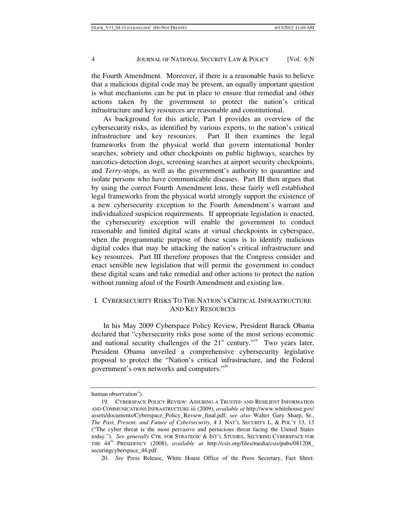the Fourth Amendment. Moreover, if there is a reasonable basis to believe that a malicious digital code may be present, an equally important question is what mechanisms can be put in place to ensure that remedial and other actions taken by the government to protect the nation's critical infrastructure and key resources are reasonable and constitutional.

As background for this article, Part I provides an overview of the cybersecurity risks, as identified by various experts, to the nation's critical infrastructure and key resources. Part II then examines the legal frameworks from the physical world that govern international border searches, sobriety and other checkpoints on public highways, searches by narcotics-detection dogs, screening searches at airport security checkpoints, and *Terry*-stops, as well as the government's authority to quarantine and isolate persons who have communicable diseases. Part III then argues that by using the correct Fourth Amendment lens, these fairly well established legal frameworks from the physical world strongly support the existence of a new cybersecurity exception to the Fourth Amendment's warrant and individualized suspicion requirements. If appropriate legislation is enacted, the cybersecurity exception will enable the government to conduct reasonable and limited digital scans at virtual checkpoints in cyberspace, when the programmatic purpose of those scans is to identify malicious digital codes that may be attacking the nation's critical infrastructure and key resources. Part III therefore proposes that the Congress consider and enact sensible new legislation that will permit the government to conduct these digital scans and take remedial and other actions to protect the nation without running afoul of the Fourth Amendment and existing law.

# I. CYBERSECURITY RISKS TO THE NATION'S CRITICAL INFRASTRUCTURE AND KEY RESOURCES

In his May 2009 Cyberspace Policy Review, President Barack Obama declared that "cybersecurity risks pose some of the most serious economic and national security challenges of the  $21<sup>st</sup>$  century."<sup>19</sup> Two years later, President Obama unveiled a comprehensive cybersecurity legislative proposal to protect the "Nation's critical infrastructure, and the Federal government's own networks and computers."<sup>20</sup>

20. *See* Press Release, White House Office of the Press Secretary, Fact Sheet:

human observation").

<sup>19.</sup> CYBERSPACE POLICY REVIEW: ASSURING A TRUSTED AND RESILIENT INFORMATION AND COMMUNICATIONS INFRASTRUCTURE iii (2009), *available at* http://www.whitehouse.gov/ assets/documents/Cyberspace\_Policy\_Review\_final.pdf; s*ee also* Walter Gary Sharp, Sr., *The Past, Present, and Future of Cybersecurity*, 4 J. NAT'L SECURITY L. & POL'Y 13, 13 ("The cyber threat is the most pervasive and pernicious threat facing the United States today."). *See generally* CTR. FOR STRATEGIC & INT'L STUDIES, SECURING CYBERSPACE FOR THE 44TH PRESIDENCY (2008), *available at* http://csis.org/files/media/csis/pubs/081208\_ securingcyberspace\_44.pdf.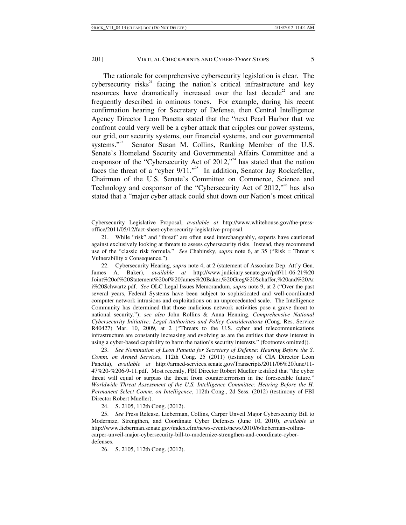The rationale for comprehensive cybersecurity legislation is clear. The cybersecurity risks<sup>21</sup> facing the nation's critical infrastructure and key resources have dramatically increased over the last decade<sup>22</sup> and are frequently described in ominous tones. For example, during his recent confirmation hearing for Secretary of Defense, then Central Intelligence Agency Director Leon Panetta stated that the "next Pearl Harbor that we confront could very well be a cyber attack that cripples our power systems, our grid, our security systems, our financial systems, and our governmental systems."<sup>23</sup> Senator Susan M. Collins, Ranking Member of the U.S. Senate's Homeland Security and Governmental Affairs Committee and a cosponsor of the "Cybersecurity Act of  $2012$ ,"<sup>24</sup> has stated that the nation faces the threat of a "cyber  $9/11$ ."<sup>25</sup> In addition, Senator Jay Rockefeller, Chairman of the U.S. Senate's Committee on Commerce, Science and Technology and cosponsor of the "Cybersecurity Act of  $2012$ ,"<sup>26</sup> has also stated that a "major cyber attack could shut down our Nation's most critical

 22. Cybersecurity Hearing, *supra* note 4, at 2 (statement of Associate Dep. Att'y Gen. James A. Baker), *available at* http://www.judiciary.senate.gov/pdf/11-06-21%20 Joint%20of%20Statement%20of%20James%20Baker,%20Greg%20Schaffer,%20and%20Ar i%20Schwartz.pdf. *See* OLC Legal Issues Memorandum, *supra* note 9, at 2 ("Over the past several years, Federal Systems have been subject to sophisticated and well-coordinated computer network intrusions and exploitations on an unprecedented scale. The Intelligence Community has determined that those malicious network activities pose a grave threat to national security."); *see also* John Rollins & Anna Henning, *Comprehensive National Cybersecurity Initiative: Legal Authorities and Policy Considerations* (Cong. Res. Service R40427) Mar. 10, 2009, at 2 ("Threats to the U.S. cyber and telecommunications infrastructure are constantly increasing and evolving as are the entities that show interest in using a cyber-based capability to harm the nation's security interests." (footnotes omitted)).

23. *See Nomination of Leon Panetta for Secretary of Defense: Hearing Before the S. Comm. on Armed Services*, 112th Cong. 25 (2011) (testimony of CIA Director Leon Panetta), *available at* http://armed-services.senate.gov/Transcripts/2011/06%20June/11- 47%20-%206-9-11.pdf. Most recently, FBI Director Robert Mueller testified that "the cyber threat will equal or surpass the threat from counterterrorism in the foreseeable future." *Worldwide Threat Assessment of the U.S. Intelligence Committee: Hearing Before the H. Permanent Select Comm. on Intelligence*, 112th Cong., 2d Sess. (2012) (testimony of FBI Director Robert Mueller).

24. S. 2105, 112th Cong. (2012).

25. *See* Press Release, Lieberman, Collins, Carper Unveil Major Cybersecurity Bill to Modernize, Strengthen, and Coordinate Cyber Defenses (June 10, 2010), *available at* http://www.lieberman.senate.gov/index.cfm/news-events/news/2010/6/lieberman-collinscarper-unveil-major-cybersecurity-bill-to-modernize-strengthen-and-coordinate-cyberdefenses.

26. S. 2105, 112th Cong. (2012).

Cybersecurity Legislative Proposal, *available at* http://www.whitehouse.gov/the-pressoffice/2011/05/12/fact-sheet-cybersecurity-legislative-proposal.

 <sup>21.</sup> While "risk" and "threat" are often used interchangeably, experts have cautioned against exclusively looking at threats to assess cybersecurity risks. Instead, they recommend use of the "classic risk formula." *See* Chabinsky, *supra* note 6, at 35 ("Risk = Threat x Vulnerability x Consequence.").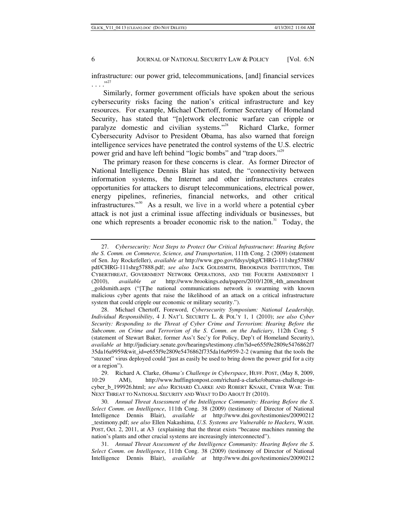infrastructure: our power grid, telecommunications, [and] financial services  $\ldots$ <sup>37</sup>

Similarly, former government officials have spoken about the serious cybersecurity risks facing the nation's critical infrastructure and key resources. For example, Michael Chertoff, former Secretary of Homeland Security, has stated that "[n]etwork electronic warfare can cripple or paralyze domestic and civilian systems."28 Richard Clarke, former Cybersecurity Advisor to President Obama, has also warned that foreign intelligence services have penetrated the control systems of the U.S. electric power grid and have left behind "logic bombs" and "trap doors."<sup>29</sup>

The primary reason for these concerns is clear. As former Director of National Intelligence Dennis Blair has stated, the "connectivity between information systems, the Internet and other infrastructures creates opportunities for attackers to disrupt telecommunications, electrical power, energy pipelines, refineries, financial networks, and other critical infrastructures."30 As a result, we live in a world where a potential cyber attack is not just a criminal issue affecting individuals or businesses, but one which represents a broader economic risk to the nation.<sup>31</sup> Today, the

<sup>27.</sup> *Cybersecurity: Next Steps to Protect Our Critical Infrastructure*: *Hearing Before the S. Comm. on Commerce, Science, and Transportation*, 111th Cong. 2 (2009) (statement of Sen. Jay Rockefeller), *available at* http://www.gpo.gov/fdsys/pkg/CHRG-111shrg57888/ pdf/CHRG-111shrg57888.pdf; *see also* JACK GOLDSMITH, BROOKINGS INSTITUTION, THE CYBERTHREAT, GOVERNMENT NETWORK OPERATIONS, AND THE FOURTH AMENDMENT 1 (2010), *available at* http://www.brookings.edu/papers/2010/1208\_4th\_amendment \_goldsmith.aspx ("[T]he national communications network is swarming with known malicious cyber agents that raise the likelihood of an attack on a critical infrastructure system that could cripple our economic or military security.").

 <sup>28.</sup> Michael Chertoff, Foreword, *Cybersecurity Symposium: National Leadership, Individual Responsibility*, 4 J. NAT'L SECURITY L. & POL'Y 1, 1 (2010); *see also Cyber Security: Responding to the Threat of Cyber Crime and Terrorism*: *Hearing Before the Subcomm*. *on Crime and Terrorism of the S*. *Comm*. *on the Judiciary*, 112th Cong. 5 (statement of Stewart Baker, former Ass't Sec'y for Policy, Dep't of Homeland Security), *available at* http://judiciary.senate.gov/hearings/testimony.cfm?id=e655f9e2809e5476862f7 35da16a9959&wit\_id=e655f9e2809e5476862f735da16a9959-2-2 (warning that the tools the "stuxnet" virus deployed could "just as easily be used to bring down the power grid for a city or a region").

 <sup>29.</sup> Richard A. Clarke, *Obama's Challenge in Cyberspace*, HUFF. POST, (May 8, 2009, 10:29 AM), http://www.huffingtonpost.com/richard-a-clarke/obamas-challenge-incyber\_b\_199926.html; *see also* RICHARD CLARKE AND ROBERT KNAKE, CYBER WAR: THE NEXT THREAT TO NATIONAL SECURITY AND WHAT TO DO ABOUT IT (2010).

<sup>30.</sup> *Annual Threat Assessment of the Intelligence Community: Hearing Before the S*. *Select Comm*. *on Intelligence*, 111th Cong. 38 (2009) (testimony of Director of National Intelligence Dennis Blair), *available at* http://www.dni.gov/testimonies/20090212 \_testimony.pdf; *see also* Ellen Nakashima, *U.S. Systems are Vulnerable to Hackers*, WASH. POST, Oct. 2, 2011, at A3 (explaining that the threat exists "because machines running the nation's plants and other crucial systems are increasingly interconnected").

<sup>31.</sup> *Annual Threat Assessment of the Intelligence Community: Hearing Before the S*. *Select Comm*. *on Intelligence*, 111th Cong. 38 (2009) (testimony of Director of National Intelligence Dennis Blair), *available at* http://www.dni.gov/testimonies/20090212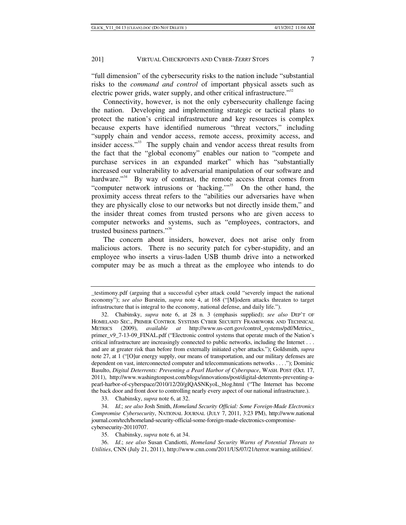"full dimension" of the cybersecurity risks to the nation include "substantial risks to the *command and control* of important physical assets such as electric power grids, water supply, and other critical infrastructure."<sup>32</sup>

Connectivity, however, is not the only cybersecurity challenge facing the nation. Developing and implementing strategic or tactical plans to protect the nation's critical infrastructure and key resources is complex because experts have identified numerous "threat vectors," including "supply chain and vendor access, remote access, proximity access, and insider access."<sup>33</sup> The supply chain and vendor access threat results from the fact that the "global economy" enables our nation to "compete and purchase services in an expanded market" which has "substantially increased our vulnerability to adversarial manipulation of our software and hardware."<sup>34</sup> By way of contrast, the remote access threat comes from "computer network intrusions or 'hacking."<sup>35</sup> On the other hand, the proximity access threat refers to the "abilities our adversaries have when they are physically close to our networks but not directly inside them," and the insider threat comes from trusted persons who are given access to computer networks and systems, such as "employees, contractors, and trusted business partners."<sup>36</sup>

The concern about insiders, however, does not arise only from malicious actors. There is no security patch for cyber-stupidity, and an employee who inserts a virus-laden USB thumb drive into a networked computer may be as much a threat as the employee who intends to do

33. Chabinsky, *supra* note 6, at 32.

\_testimony.pdf (arguing that a successful cyber attack could "severely impact the national economy"); *see also* Burstein, *supra* note 4, at 168 ("[M]odern attacks threaten to target infrastructure that is integral to the economy, national defense, and daily life.").

 <sup>32.</sup> Chabinsky, *supra* note 6, at 28 n. 3 (emphasis supplied); *see also* DEP'T OF HOMELAND SEC., PRIMER CONTROL SYSTEMS CYBER SECURITY FRAMEWORK AND TECHNICAL METRICS (2009), *available at* http://www.us-cert.gov/control\_systems/pdf/Metrics\_ primer\_v9\_7-13-09\_FINAL.pdf ("Electronic control systems that operate much of the Nation's critical infrastructure are increasingly connected to public networks, including the Internet . . . and are at greater risk than before from externally initiated cyber attacks."); Goldsmith, *supra* note 27, at 1 ("[O]ur energy supply, our means of transportation, and our military defenses are dependent on vast, interconnected computer and telecommunications networks . . . ."); Dominic Basulto, *Digital Deterrents: Preventing a Pearl Harbor of Cyberspace*, WASH. POST (Oct. 17, 2011), http://www.washingtonpost.com/blogs/innovations/post/digital-deterrents-preventing-apearl-harbor-of-cyberspace/2010/12/20/gIQASNKyoL\_blog.html ("The Internet has become the back door and front door to controlling nearly every aspect of our national infrastructure.).

<sup>34.</sup> *Id*.; *see also* Josh Smith, *Homeland Security Official: Some Foreign-Made Electronics Compromise Cybersecurity*, NATIONAL JOURNAL (JULY 7, 2011, 3:23 PM), http://www.national journal.com/tech/homeland-security-official-some-foreign-made-electronics-compromisecybersecurity-20110707.

 <sup>35.</sup> Chabinsky, *supra* note 6, at 34.

<sup>36.</sup> *Id*.; *see also* Susan Candiotti, *Homeland Security Warns of Potential Threats to Utilities*, CNN (July 21, 2011), http://www.cnn.com/2011/US/07/21/terror.warning.utilities/.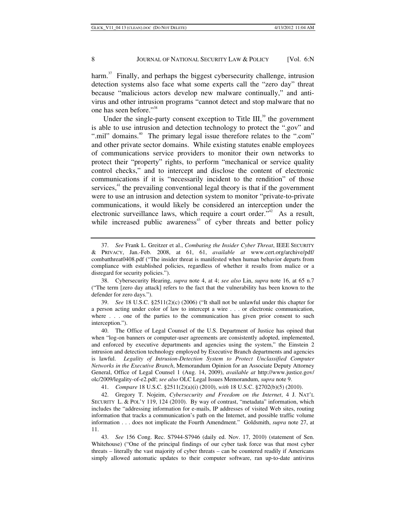harm.<sup>37</sup> Finally, and perhaps the biggest cybersecurity challenge, intrusion detection systems also face what some experts call the "zero day" threat because "malicious actors develop new malware continually," and antivirus and other intrusion programs "cannot detect and stop malware that no one has seen before."38

Under the single-party consent exception to Title III, $39$  the government is able to use intrusion and detection technology to protect the ".gov" and ".mil" domains.<sup>40</sup> The primary legal issue therefore relates to the ".com" and other private sector domains. While existing statutes enable employees of communications service providers to monitor their own networks to protect their "property" rights, to perform "mechanical or service quality control checks," and to intercept and disclose the content of electronic communications if it is "necessarily incident to the rendition" of those services, $4$ <sup>1</sup> the prevailing conventional legal theory is that if the government were to use an intrusion and detection system to monitor "private-to-private communications, it would likely be considered an interception under the electronic surveillance laws, which require a court order."<sup>42</sup> As a result, while increased public awareness<sup> $43$ </sup> of cyber threats and better policy

39. *See* 18 U.S.C. §2511(2)(c) (2006) ("It shall not be unlawful under this chapter for a person acting under color of law to intercept a wire . . . or electronic communication, where . . . one of the parties to the communication has given prior consent to such interception.").

 40. The Office of Legal Counsel of the U.S. Department of Justice has opined that when "log-on banners or computer-user agreements are consistently adopted, implemented, and enforced by executive departments and agencies using the system," the Einstein 2 intrusion and detection technology employed by Executive Branch departments and agencies is lawful. *Legality of Intrusion-Detection System to Protect Unclassified Computer Networks in the Executive Branch*, Memorandum Opinion for an Associate Deputy Attorney General, Office of Legal Counsel 1 (Aug. 14, 2009), *available at* http://www.justice.gov/ olc/2009/legality-of-e2.pdf; *see also* OLC Legal Issues Memorandum, *supra* note 9.

41. *Compare* 18 U.S.C. §2511(2)(a)(i) (2010), *with* 18 U.S.C. §2702(b)(5) (2010).

 42. Gregory T. Nojeim, *Cybersecurity and Freedom on the Internet*, 4 J. NAT'L SECURITY L. & POL'Y 119, 124 (2010). By way of contrast, "metadata" information, which includes the "addressing information for e-mails, IP addresses of visited Web sites, routing information that tracks a communication's path on the Internet, and possible traffic volume information . . . does not implicate the Fourth Amendment." Goldsmith, *supra* note 27, at 11.

43. *See* 156 Cong. Rec. S7944-S7946 (daily ed. Nov. 17, 2010) (statement of Sen. Whitehouse) ("One of the principal findings of our cyber task force was that most cyber threats – literally the vast majority of cyber threats – can be countered readily if Americans simply allowed automatic updates to their computer software, ran up-to-date antivirus

<sup>37.</sup> *See* Frank L. Greitzer et al., *Combating the Insider Cyber Threat*, IEEE SECURITY & PRIVACY, Jan.-Feb. 2008, at 61, 61, *available at* www.cert.org/archive/pdf/ combatthreat0408.pdf ("The insider threat is manifested when human behavior departs from compliance with established policies, regardless of whether it results from malice or a disregard for security policies.").

 <sup>38.</sup> Cybersecurity Hearing, *supra* note 4, at 4; *see also* Lin, *supra* note 16, at 65 n.7 ("The term [zero day attack] refers to the fact that the vulnerability has been known to the defender for zero days.").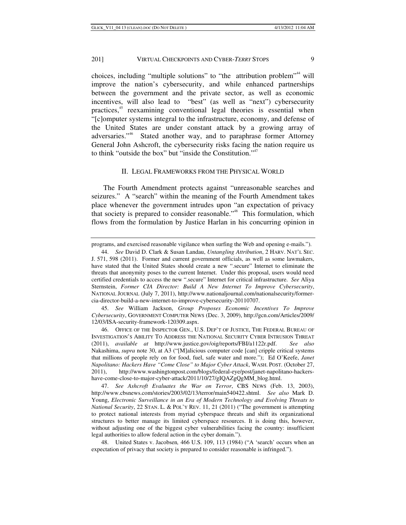choices, including "multiple solutions" to "the attribution problem"<sup>44</sup> will improve the nation's cybersecurity, and while enhanced partnerships between the government and the private sector, as well as economic incentives, will also lead to "best" (as well as "next") cybersecurity practices,45 reexamining conventional legal theories is essential when "[c]omputer systems integral to the infrastructure, economy, and defense of the United States are under constant attack by a growing array of adversaries."<sup>46</sup> Stated another way, and to paraphrase former Attorney General John Ashcroft, the cybersecurity risks facing the nation require us to think "outside the box" but "inside the Constitution."<sup>47</sup>

#### II. LEGAL FRAMEWORKS FROM THE PHYSICAL WORLD

The Fourth Amendment protects against "unreasonable searches and seizures." A "search" within the meaning of the Fourth Amendment takes place whenever the government intrudes upon "an expectation of privacy that society is prepared to consider reasonable."<sup>48</sup> This formulation, which flows from the formulation by Justice Harlan in his concurring opinion in

45. *See* William Jackson, *Group Proposes Economic Incentives To Improve Cybersecurity*, GOVERNMENT COMPUTER NEWS (Dec. 3, 2009), http://gcn.com/Articles/2009/ 12/03/ISA-security-framework-120309.aspx.

programs, and exercised reasonable vigilance when surfing the Web and opening e-mails.").

<sup>44.</sup> *See* David D. Clark & Susan Landau, *Untangling Attribution*, 2 HARV. NAT'L SEC. J. 571, 598 (2011). Former and current government officials, as well as some lawmakers, have stated that the United States should create a new ".secure" Internet to eliminate the threats that anonymity poses to the current Internet. Under this proposal, users would need certified credentials to access the new ".secure" Internet for critical infrastructure. *See* Aliya Sternstein, *Former CIA Director: Build A New Internet To Improve Cybersecurity*, NATIONAL JOURNAL (July 7, 2011), http://www.nationaljournal.com/nationalsecurity/formercia-director-build-a-new-internet-to-improve-cybersecurity-20110707.

 <sup>46.</sup> OFFICE OF THE INSPECTOR GEN., U.S. DEP'T OF JUSTICE, THE FEDERAL BUREAU OF INVESTIGATION'S ABILITY TO ADDRESS THE NATIONAL SECURITY CYBER INTRUSION THREAT (2011), *available at* http://www.justice.gov/oig/reports/FBI/a1122r.pdf. *See also* Nakashima, *supra* note 30, at A3 ("[M]alicious computer code [can] cripple critical systems that millions of people rely on for food, fuel, safe water and more."); Ed O'Keefe, *Janet Napolitano: Hackers Have "Come Close" to Major Cyber Attack*, WASH. POST. (October 27, 2011), http://www.washingtonpost.com/blogs/federal-eye/post/janet-napolitano-hackershave-come-close-to-major-cyber-attack/2011/10/27/gIQAZgQgMM\_blog.html.

 <sup>47.</sup> *See Ashcroft Evaluates the War on Terror*, CBS NEWS (Feb. 13, 2003), http://www.cbsnews.com/stories/2003/02/13/terror/main540422.shtml. *See also* Mark D. Young, *Electronic Surveillance in an Era of Modern Technology and Evolving Threats to National Security*, 22 STAN. L. & POL'Y REV. 11, 21 (2011) ("The government is attempting to protect national interests from myriad cyberspace threats and shift its organizational structures to better manage its limited cyberspace resources. It is doing this, however, without adjusting one of the biggest cyber vulnerabilities facing the country: insufficient legal authorities to allow federal action in the cyber domain.").

 <sup>48.</sup> United States v. Jacobsen*,* 466 U.S. 109, 113 (1984) ("A 'search' occurs when an expectation of privacy that society is prepared to consider reasonable is infringed.").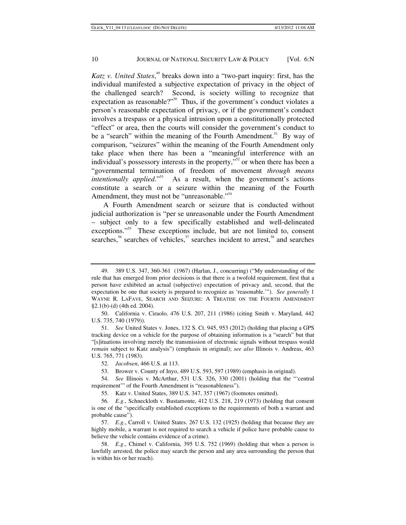*Katz v. United States*, 49 breaks down into a "two-part inquiry: first, has the individual manifested a subjective expectation of privacy in the object of the challenged search? Second, is society willing to recognize that expectation as reasonable?"<sup>50</sup> Thus, if the government's conduct violates a person's reasonable expectation of privacy, or if the government's conduct involves a trespass or a physical intrusion upon a constitutionally protected "effect" or area, then the courts will consider the government's conduct to be a "search" within the meaning of the Fourth Amendment.<sup>51</sup> By way of comparison, "seizures" within the meaning of the Fourth Amendment only take place when there has been a "meaningful interference with an individual's possessory interests in the property, $\overline{N^2}$  or when there has been a "governmental termination of freedom of movement *through means intentionally applied.*"<sup>53</sup> As a result, when the government's actions constitute a search or a seizure within the meaning of the Fourth Amendment, they must not be "unreasonable."<sup>54</sup>

A Fourth Amendment search or seizure that is conducted without judicial authorization is "per se unreasonable under the Fourth Amendment – subject only to a few specifically established and well-delineated exceptions."<sup>55</sup> These exceptions include, but are not limited to, consent searches,<sup>56</sup> searches of vehicles,<sup>57</sup> searches incident to arrest,<sup>58</sup> and searches

 <sup>49. 389</sup> U.S. 347, 360-361 (1967) (Harlan, J., concurring) ("My understanding of the rule that has emerged from prior decisions is that there is a twofold requirement, first that a person have exhibited an actual (subjective) expectation of privacy and, second, that the expectation be one that society is prepared to recognize as 'reasonable.'"). *See generally* 1 WAYNE R. LAFAVE, SEARCH AND SEIZURE: A TREATISE ON THE FOURTH AMENDMENT §2.1(b)-(d) (4th ed. 2004).

 <sup>50.</sup> California v. Ciraolo*,* 476 U.S. 207, 211 (1986) (citing Smith v. Maryland*,* 442 U.S. 735, 740 (1979)).

<sup>51.</sup> *See* United States v. Jones, 132 S. Ct. 945, 953 (2012) (holding that placing a GPS tracking device on a vehicle for the purpose of obtaining information is a "search" but that "[s]ituations involving merely the transmission of electronic signals without trespass would *remain* subject to Katz analysis") (emphasis in original); *see also* Illinois v. Andreas, 463 U.S. 765, 771 (1983).

 <sup>52.</sup> *Jacobsen*, 466 U.S. at 113.

 <sup>53.</sup> Brower v. County of Inyo, 489 U.S. 593, 597 (1989) (emphasis in original).

<sup>54.</sup> *See* Illinois v. McArthur, 531 U.S. 326, 330 (2001) (holding that the "'central requirement'" of the Fourth Amendment is "reasonableness").

 <sup>55.</sup> Katz v. United States, 389 U.S. 347, 357 (1967) (footnotes omitted).

<sup>56.</sup> *E*.*g*., Schneckloth v. Bustamonte, 412 U.S. 218, 219 (1973) (holding that consent is one of the "specifically established exceptions to the requirements of both a warrant and probable cause").

<sup>57.</sup> *E*.*g*., Carroll v. United States. 267 U.S. 132 (1925) (holding that because they are highly mobile, a warrant is not required to search a vehicle if police have probable cause to believe the vehicle contains evidence of a crime).

<sup>58.</sup> *E*.*g*., Chimel v. California, 395 U.S. 752 (1969) (holding that when a person is lawfully arrested, the police may search the person and any area surrounding the person that is within his or her reach).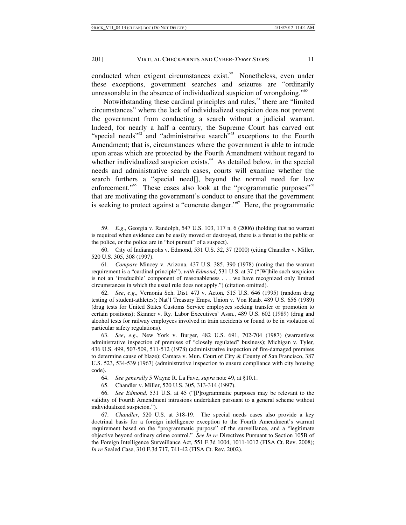conducted when exigent circumstances exist.<sup>59</sup> Nonetheless, even under these exceptions, government searches and seizures are "ordinarily unreasonable in the absence of individualized suspicion of wrongdoing."<sup>60</sup>

Notwithstanding these cardinal principles and rules, $<sup>61</sup>$  there are "limited"</sup> circumstances" where the lack of individualized suspicion does not prevent the government from conducting a search without a judicial warrant. Indeed, for nearly a half a century, the Supreme Court has carved out "special needs"<sup>62</sup> and "administrative search"<sup>63</sup> exceptions to the Fourth Amendment; that is, circumstances where the government is able to intrude upon areas which are protected by the Fourth Amendment without regard to whether individualized suspicion exists. $64$  As detailed below, in the special needs and administrative search cases, courts will examine whether the search furthers a "special need[], beyond the normal need for law enforcement."<sup>65</sup> These cases also look at the "programmatic purposes"<sup>66</sup> that are motivating the government's conduct to ensure that the government is seeking to protect against a "concrete danger."<sup>67</sup> Here, the programmatic

61. *Compare* Mincey v. Arizona, 437 U.S. 385, 390 (1978) (noting that the warrant requirement is a "cardinal principle"), *with Edmond*, 531 U.S. at 37 ("[W]hile such suspicion is not an 'irreducible' component of reasonableness . . . we have recognized only limited circumstances in which the usual rule does not apply.") (citation omitted).

62. *See*, *e*.*g*., Vernonia Sch. Dist. 47J v. Acton*,* 515 U.S. 646 (1995) (random drug testing of student-athletes); Nat'l Treasury Emps. Union v. Von Raab*,* 489 U.S. 656 (1989) (drug tests for United States Customs Service employees seeking transfer or promotion to certain positions); Skinner v. Ry. Labor Executives' Assn., 489 U.S. 602 (1989) (drug and alcohol tests for railway employees involved in train accidents or found to be in violation of particular safety regulations).

63. *See*, *e*.*g*., New York v. Burger, 482 U.S. 691, 702-704 (1987) (warrantless administrative inspection of premises of "closely regulated" business); Michigan v. Tyler*,* 436 U.S. 499, 507-509, 511-512 (1978) (administrative inspection of fire-damaged premises to determine cause of blaze); Camara v. Mun. Court of City & County of San Francisco, 387 U.S. 523, 534-539 (1967) (administrative inspection to ensure compliance with city housing code).

64. *See generally* 5 Wayne R. La Fave, *supra* note 49, at §10.1.

65. Chandler v. Miller, 520 U.S. 305, 313-314 (1997).

66. *See Edmond,* 531 U.S. at 45 ("[P]rogrammatic purposes may be relevant to the validity of Fourth Amendment intrusions undertaken pursuant to a general scheme without individualized suspicion.").

67. *Chandler*, 520 U.S. at 318-19. The special needs cases also provide a key doctrinal basis for a foreign intelligence exception to the Fourth Amendment's warrant requirement based on the "programmatic purpose" of the surveillance, and a "legitimate objective beyond ordinary crime control." *See In re* Directives Pursuant to Section 105B of the Foreign Intelligence Surveillance Act*,* 551 F.3d 1004, 1011-1012 (FISA Ct. Rev. 2008); *In re* Sealed Case, 310 F.3d 717, 741-42 (FISA Ct. Rev. 2002).

<sup>59.</sup> *E*.*g*., Georgia v. Randolph, 547 U.S. 103, 117 n. 6 (2006) (holding that no warrant is required when evidence can be easily moved or destroyed, there is a threat to the public or the police, or the police are in "hot pursuit" of a suspect).

 <sup>60.</sup> City of Indianapolis v. Edmond, 531 U.S. 32, 37 (2000) (citing Chandler v. Miller, 520 U.S. 305, 308 (1997).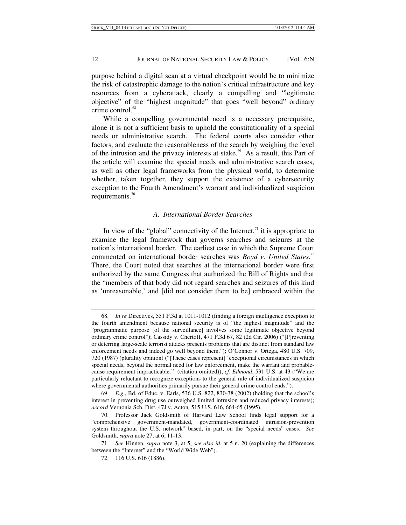purpose behind a digital scan at a virtual checkpoint would be to minimize the risk of catastrophic damage to the nation's critical infrastructure and key resources from a cyberattack, clearly a compelling and "legitimate objective" of the "highest magnitude" that goes "well beyond" ordinary crime control.<sup>68</sup>

While a compelling governmental need is a necessary prerequisite, alone it is not a sufficient basis to uphold the constitutionality of a special needs or administrative search. The federal courts also consider other factors, and evaluate the reasonableness of the search by weighing the level of the intrusion and the privacy interests at stake. $69$  As a result, this Part of the article will examine the special needs and administrative search cases, as well as other legal frameworks from the physical world, to determine whether, taken together, they support the existence of a cybersecurity exception to the Fourth Amendment's warrant and individualized suspicion requirements.<sup>70</sup>

## *A. International Border Searches*

In view of the "global" connectivity of the Internet, $\frac{1}{1}$  it is appropriate to examine the legal framework that governs searches and seizures at the nation's international border. The earliest case in which the Supreme Court commented on international border searches was *Boyd v. United States*. 72 There, the Court noted that searches at the international border were first authorized by the same Congress that authorized the Bill of Rights and that the "members of that body did not regard searches and seizures of this kind as 'unreasonable,' and [did not consider them to be] embraced within the

<sup>68.</sup> *In re* Directives, 551 F.3d at 1011-1012 (finding a foreign intelligence exception to the fourth amendment because national security is of "the highest magnitude" and the "programmatic purpose [of the surveillance] involves some legitimate objective beyond ordinary crime control"); Cassidy v. Chertoff, 471 F.3d 67, 82 (2d Cir. 2006) ("[P]reventing or deterring large-scale terrorist attacks presents problems that are distinct from standard law enforcement needs and indeed go well beyond them."); O'Connor v. Ortega*,* 480 U.S. 709, 720 (1987) (plurality opinion) ("[These cases represent] 'exceptional circumstances in which special needs, beyond the normal need for law enforcement, make the warrant and probablecause requirement impracticable.'" (citation omitted)); *cf*. *Edmond*, 531 U.S. at 43 ("We are particularly reluctant to recognize exceptions to the general rule of individualized suspicion where governmental authorities primarily pursue their general crime control ends.").

<sup>69.</sup> *E*.*g*., Bd. of Educ. v. Earls, 536 U.S. 822, 830-38 (2002) (holding that the school's interest in preventing drug use outweighed limited intrusion and reduced privacy interests); *accord* Vernonia Sch. Dist. 47J v. Acton*,* 515 U.S. 646, 664-65 (1995).

<sup>70.</sup> Professor Jack Goldsmith of Harvard Law School finds legal support for a "comprehensive government-mandated, government-coordinated intrusion-prevention system throughout the U.S. network" based, in part, on the "special needs" cases. *See* Goldsmith, *supra* note 27, at 6, 11-13.

<sup>71.</sup> *See* Hinnen, *supra* note 3, at 5; *see also id*. at 5 n. 20 (explaining the differences between the "Internet" and the "World Wide Web").

 <sup>72. 116</sup> U.S. 616 (1886).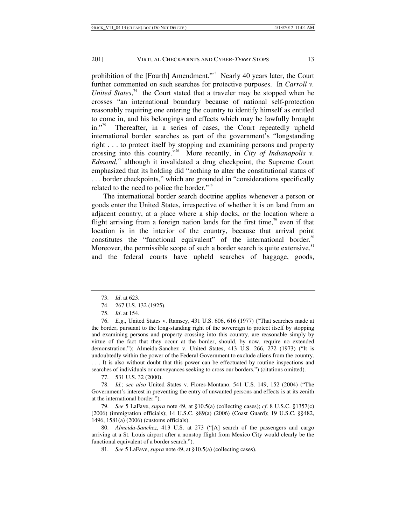prohibition of the [Fourth] Amendment."<sup>73</sup> Nearly 40 years later, the Court further commented on such searches for protective purposes. In *Carroll v.*  United States,<sup>74</sup> the Court stated that a traveler may be stopped when he crosses "an international boundary because of national self-protection reasonably requiring one entering the country to identify himself as entitled to come in, and his belongings and effects which may be lawfully brought in."<sup>75</sup> Thereafter, in a series of cases, the Court repeatedly upheld international border searches as part of the government's "longstanding right . . . to protect itself by stopping and examining persons and property crossing into this country."76 More recently, in *City of Indianapolis v. Edmond*<sup>77</sup> although it invalidated a drug checkpoint, the Supreme Court emphasized that its holding did "nothing to alter the constitutional status of . . . border checkpoints," which are grounded in "considerations specifically related to the need to police the border."<sup>78</sup>

The international border search doctrine applies whenever a person or goods enter the United States, irrespective of whether it is on land from an adjacent country, at a place where a ship docks, or the location where a flight arriving from a foreign nation lands for the first time,<sup>79</sup> even if that location is in the interior of the country, because that arrival point constitutes the "functional equivalent" of the international border.<sup>80</sup> Moreover, the permissible scope of such a border search is quite extensive, ${}^{81}$ and the federal courts have upheld searches of baggage, goods,

- 74. 267 U.S. 132 (1925).
- 75. *Id*. at 154.

76. *E*.*g*., United States v. Ramsey, 431 U.S. 606, 616 (1977) ("That searches made at the border, pursuant to the long-standing right of the sovereign to protect itself by stopping and examining persons and property crossing into this country, are reasonable simply by virtue of the fact that they occur at the border, should, by now, require no extended demonstration."); Almeida-Sanchez v. United States, 413 U.S. 266, 272 (1973) ("It is undoubtedly within the power of the Federal Government to exclude aliens from the country. . . . It is also without doubt that this power can be effectuated by routine inspections and searches of individuals or conveyances seeking to cross our borders.") (citations omitted).

77. 531 U.S. 32 (2000).

78. *Id.*; *see also* United States v. Flores-Montano, 541 U.S. 149, 152 (2004) ("The Government's interest in preventing the entry of unwanted persons and effects is at its zenith at the international border.").

79. *See* 5 LaFave, *supra* note 49, at §10.5(a) (collecting cases); *cf*. 8 U.S.C. §1357(c) (2006) (immigration officials); 14 U.S.C. §89(a) (2006) (Coast Guard); 19 U.S.C. §§482, 1496, 1581(a) (2006) (customs officials).

80. *Almeida-Sanchez*, 413 U.S. at 273 ("[A] search of the passengers and cargo arriving at a St. Louis airport after a nonstop flight from Mexico City would clearly be the functional equivalent of a border search.").

81. *See* 5 LaFave, *supra* note 49, at §10.5(a) (collecting cases).

<sup>73.</sup> *Id*. at 623.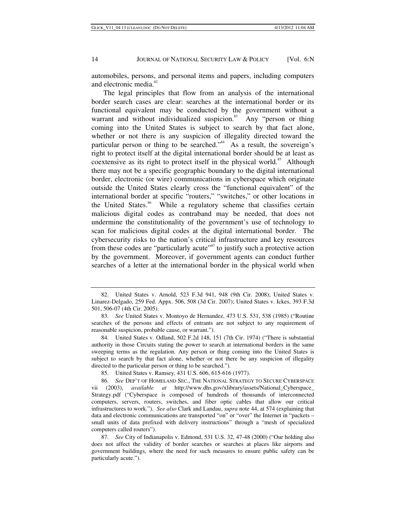automobiles, persons, and personal items and papers, including computers and electronic media.<sup>82</sup>

The legal principles that flow from an analysis of the international border search cases are clear: searches at the international border or its functional equivalent may be conducted by the government without a warrant and without individualized suspicion.<sup>83</sup> Any "person or thing coming into the United States is subject to search by that fact alone, whether or not there is any suspicion of illegality directed toward the particular person or thing to be searched."<sup>84</sup> As a result, the sovereign's right to protect itself at the digital international border should be at least as coextensive as its right to protect itself in the physical world.<sup>85</sup> Although there may not be a specific geographic boundary to the digital international border, electronic (or wire) communications in cyberspace which originate outside the United States clearly cross the "functional equivalent" of the international border at specific "routers," "switches," or other locations in the United States.<sup>86</sup> While a regulatory scheme that classifies certain malicious digital codes as contraband may be needed, that does not undermine the constitutionality of the government's use of technology to scan for malicious digital codes at the digital international border. The cybersecurity risks to the nation's critical infrastructure and key resources from these codes are "particularly acute"<sup>87</sup> to justify such a protective action by the government. Moreover, if government agents can conduct further searches of a letter at the international border in the physical world when

 84. United States v. Odland, 502 F.2d 148, 151 (7th Cir. 1974) ("There is substantial authority in those Circuits stating the power to search at international borders in the same sweeping terms as the regulation. Any person or thing coming into the United States is subject to search by that fact alone, whether or not there be any suspicion of illegality directed to the particular person or thing to be searched.").

85. United States v. Ramsey*,* 431 U.S. 606, 615-616 (1977).

86. *See* DEP'T OF HOMELAND SEC., THE NATIONAL STRATEGY TO SECURE CYBERSPACE vii (2003), *available at* http://www.dhs.gov/xlibrary/assets/National\_Cyberspace\_ Strategy.pdf ("Cyberspace is composed of hundreds of thousands of interconnected computers, servers, routers, switches, and fiber optic cables that allow our critical infrastructures to work."). *See also* Clark and Landau, *supra* note 44, at 574 (explaining that data and electronic communications are transported "on" or "over" the Internet in "packets – small units of data prefixed with delivery instructions" through a "mesh of specialized computers called routers").

87. *See* City of Indianapolis v. Edmond, 531 U.S. 32, 47-48 (2000) ("Our holding also does not affect the validity of border searches or searches at places like airports and government buildings, where the need for such measures to ensure public safety can be particularly acute.").

 <sup>82.</sup> United States v. Arnold, 523 F.3d 941, 948 (9th Cir. 2008); United States v. Linarez-Delgado, 259 Fed. Appx. 506, 508 (3d Cir. 2007); United States v. Ickes, 393 F.3d 501, 506-07 (4th Cir. 2005).

<sup>83.</sup> *See* United States v. Montoyo de Hernandez, 473 U.S. 531, 538 (1985) ("Routine searches of the persons and effects of entrants are not subject to any requirement of reasonable suspicion, probable cause, or warrant.").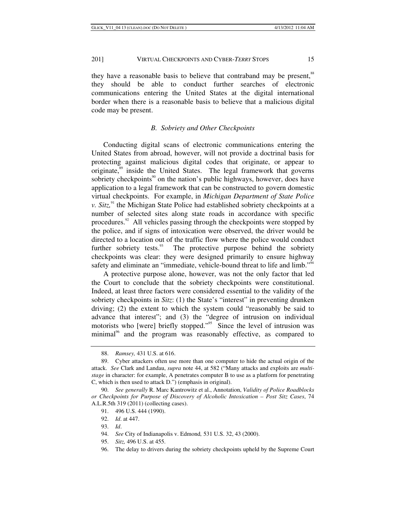they have a reasonable basis to believe that contraband may be present,<sup>88</sup> they should be able to conduct further searches of electronic communications entering the United States at the digital international border when there is a reasonable basis to believe that a malicious digital code may be present.

## *B. Sobriety and Other Checkpoints*

Conducting digital scans of electronic communications entering the United States from abroad, however, will not provide a doctrinal basis for protecting against malicious digital codes that originate, or appear to originate,<sup>89</sup> inside the United States. The legal framework that governs sobriety checkpoints<sup>90</sup> on the nation's public highways, however, does have application to a legal framework that can be constructed to govern domestic virtual checkpoints. For example, in *Michigan Department of State Police v. Sitz*,<sup>91</sup> the Michigan State Police had established sobriety checkpoints at a number of selected sites along state roads in accordance with specific procedures. $92$  All vehicles passing through the checkpoints were stopped by the police, and if signs of intoxication were observed, the driver would be directed to a location out of the traffic flow where the police would conduct further sobriety tests. $^{93}$  The protective purpose behind the sobriety checkpoints was clear: they were designed primarily to ensure highway safety and eliminate an "immediate, vehicle-bound threat to life and limb."<sup>94</sup>

A protective purpose alone, however, was not the only factor that led the Court to conclude that the sobriety checkpoints were constitutional. Indeed, at least three factors were considered essential to the validity of the sobriety checkpoints in *Sitz*: (1) the State's "interest" in preventing drunken driving; (2) the extent to which the system could "reasonably be said to advance that interest"; and (3) the "degree of intrusion on individual motorists who [were] briefly stopped."<sup>95</sup> Since the level of intrusion was minimal<sup>96</sup> and the program was reasonably effective, as compared to

<sup>88.</sup> *Ramsey,* 431 U.S. at 616.

 <sup>89.</sup> Cyber attackers often use more than one computer to hide the actual origin of the attack. *See* Clark and Landau, *supra* note 44, at 582 ("Many attacks and exploits are *multistage* in character: for example, A penetrates computer B to use as a platform for penetrating C, which is then used to attack D.") (emphasis in original).

<sup>90.</sup> *See generally* R. Marc Kantrowitz et al., Annotation, *Validity of Police Roadblocks or Checkpoints for Purpose of Discovery of Alcoholic Intoxication – Post Sitz Cases*, 74 A.L.R.5th 319 (2011) (collecting cases).

 <sup>91. 496</sup> U.S. 444 (1990).

<sup>92.</sup> *Id*. at 447.

<sup>93.</sup> *Id*.

<sup>94.</sup> *See* City of Indianapolis v. Edmond*,* 531 U.S. 32, 43 (2000).

<sup>95.</sup> *Sitz,* 496 U.S. at 455.

 <sup>96.</sup> The delay to drivers during the sobriety checkpoints upheld by the Supreme Court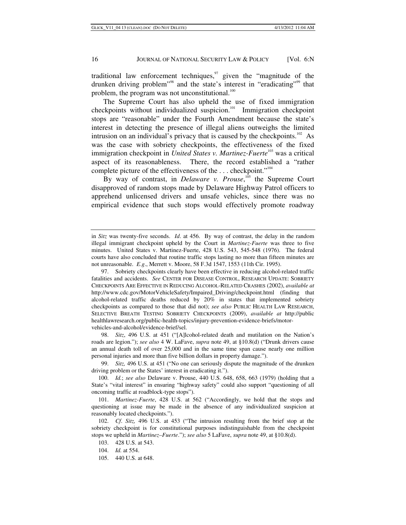traditional law enforcement techniques, $\frac{97}{12}$  given the "magnitude of the drunken driving problem<sup>"98</sup> and the state's interest in "eradicating"<sup>99</sup> that problem, the program was not unconstitutional. $100$ 

The Supreme Court has also upheld the use of fixed immigration checkpoints without individualized suspicion.<sup>101</sup> Immigration checkpoint stops are "reasonable" under the Fourth Amendment because the state's interest in detecting the presence of illegal aliens outweighs the limited intrusion on an individual's privacy that is caused by the checkpoints.<sup>102</sup> As was the case with sobriety checkpoints, the effectiveness of the fixed immigration checkpoint in *United States v. Martinez-Fuerte*<sup>103</sup> was a critical aspect of its reasonableness. There, the record established a "rather complete picture of the effectiveness of the . . . checkpoint."104

By way of contrast, in *Delaware v. Prouse*,<sup>105</sup> the Supreme Court disapproved of random stops made by Delaware Highway Patrol officers to apprehend unlicensed drivers and unsafe vehicles, since there was no empirical evidence that such stops would effectively promote roadway

98. *Sitz*, 496 U.S. at 451 ("[A]lcohol-related death and mutilation on the Nation's roads are legion."); *see also* 4 W. LaFave, *supra* note 49, at §10.8(d) ("Drunk drivers cause an annual death toll of over 25,000 and in the same time span cause nearly one million personal injuries and more than five billion dollars in property damage.").

99. *Sitz,* 496 U.S. at 451 ("No one can seriously dispute the magnitude of the drunken driving problem or the States' interest in eradicating it.").

100. *Id.*; *see also* Delaware v. Prouse, 440 U.S. 648, 658, 663 (1979) (holding that a State's "vital interest" in ensuring "highway safety" could also support "questioning of all oncoming traffic at roadblock-type stops").

 101. *Martinez-Fuerte*, 428 U.S. at 562 ("Accordingly, we hold that the stops and questioning at issue may be made in the absence of any individualized suspicion at reasonably located checkpoints.").

102. *Cf*. *Sitz,* 496 U.S. at 453 ("The intrusion resulting from the brief stop at the sobriety checkpoint is for constitutional purposes indistinguishable from the checkpoint stops we upheld in *Martinez–Fuerte*."); *see also* 5 LaFave, *supra* note 49, at §10.8(d).

103. 428 U.S. at 543.

105. 440 U.S. at 648.

in *Sitz* was twenty-five seconds. *Id*. at 456. By way of contrast, the delay in the random illegal immigrant checkpoint upheld by the Court in *Martinez-Fuerte* was three to five minutes. United States v. Martinez-Fuerte, 428 U.S. 543, 545-548 (1976). The federal courts have also concluded that routine traffic stops lasting no more than fifteen minutes are not unreasonable. *E*.*g*., Merrett v. Moore, 58 F.3d 1547, 1553 (11th Cir. 1995).

 <sup>97.</sup> Sobriety checkpoints clearly have been effective in reducing alcohol-related traffic fatalities and accidents. *See* CENTER FOR DISEASE CONTROL, RESEARCH UPDATE: SOBRIETY CHECKPOINTS ARE EFFECTIVE IN REDUCING ALCOHOL-RELATED CRASHES (2002), *available at* http://www.cdc.gov/MotorVehicleSafety/Impaired\_Driving/checkpoint.html (finding that alcohol-related traffic deaths reduced by 20% in states that implemented sobriety checkpoints as compared to those that did not); *see also* PUBLIC HEALTH LAW RESEARCH, SELECTIVE BREATH TESTING SOBRIETY CHECKPOINTS (2009), *available at* http://public healthlawresearch.org/public-health-topics/injury-prevention-evidence-briefs/motorvehicles-and-alcohol/evidence-brief/sel.

<sup>104.</sup> *Id.* at 554.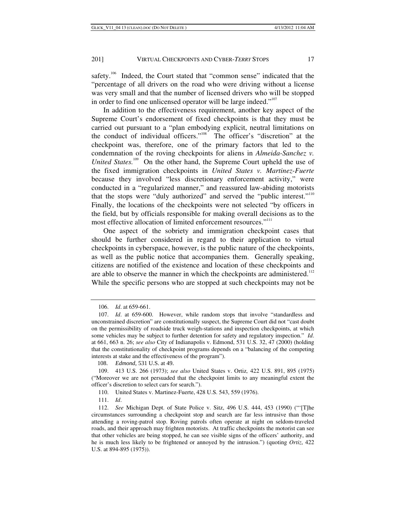safety.<sup>106</sup> Indeed, the Court stated that "common sense" indicated that the "percentage of all drivers on the road who were driving without a license was very small and that the number of licensed drivers who will be stopped in order to find one unlicensed operator will be large indeed."<sup>107</sup>

In addition to the effectiveness requirement, another key aspect of the Supreme Court's endorsement of fixed checkpoints is that they must be carried out pursuant to a "plan embodying explicit, neutral limitations on the conduct of individual officers."108 The officer's "discretion" at the checkpoint was, therefore, one of the primary factors that led to the condemnation of the roving checkpoints for aliens in *Almeida-Sanchez v. United States.*<sup>109</sup> On the other hand, the Supreme Court upheld the use of the fixed immigration checkpoints in *United States v. Martinez-Fuerte*  because they involved "less discretionary enforcement activity," were conducted in a "regularized manner," and reassured law-abiding motorists that the stops were "duly authorized" and served the "public interest."<sup>110</sup> Finally, the locations of the checkpoints were not selected "by officers in the field, but by officials responsible for making overall decisions as to the most effective allocation of limited enforcement resources."<sup>111</sup>

One aspect of the sobriety and immigration checkpoint cases that should be further considered in regard to their application to virtual checkpoints in cyberspace, however, is the public nature of the checkpoints, as well as the public notice that accompanies them. Generally speaking, citizens are notified of the existence and location of these checkpoints and are able to observe the manner in which the checkpoints are administered.<sup>112</sup> While the specific persons who are stopped at such checkpoints may not be

108. *Edmond*, 531 U.S. at 49.

<sup>106.</sup> *Id*. at 659-661.

<sup>107.</sup> *Id*. at 659-600. However, while random stops that involve "standardless and unconstrained discretion" are constitutionally suspect, the Supreme Court did not "cast doubt on the permissibility of roadside truck weigh-stations and inspection checkpoints, at which some vehicles may be subject to further detention for safety and regulatory inspection." *Id*. at 661, 663 n. 26; *see also* City of Indianapolis v. Edmond, 531 U.S. 32, 47 (2000) (holding that the constitutionality of checkpoint programs depends on a "balancing of the competing interests at stake and the effectiveness of the program").

 <sup>109. 413</sup> U.S. 266 (1973); *see also* United States v. Ortiz*,* 422 U.S. 891, 895 (1975) ("Moreover we are not persuaded that the checkpoint limits to any meaningful extent the officer's discretion to select cars for search.").

 <sup>110.</sup> United States v. Martinez-Fuerte, 428 U.S. 543, 559 (1976).

<sup>111.</sup> *Id*.

<sup>112.</sup> *See* Michigan Dept. of State Police v. Sitz, 496 U.S. 444, 453 (1990) ("'[T]he circumstances surrounding a checkpoint stop and search are far less intrusive than those attending a roving-patrol stop. Roving patrols often operate at night on seldom-traveled roads, and their approach may frighten motorists. At traffic checkpoints the motorist can see that other vehicles are being stopped, he can see visible signs of the officers' authority, and he is much less likely to be frightened or annoyed by the intrusion.") (quoting *Ortiz*, 422 U.S. at 894-895 (1975)).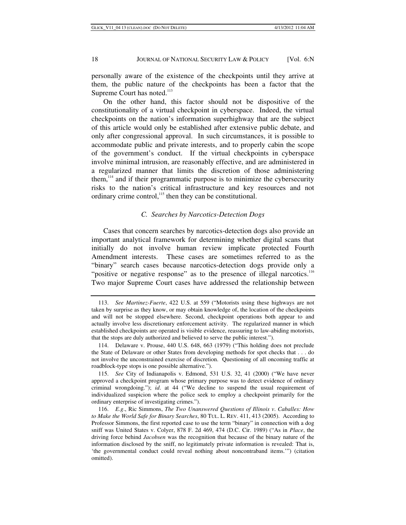personally aware of the existence of the checkpoints until they arrive at them, the public nature of the checkpoints has been a factor that the Supreme Court has noted.<sup>113</sup>

On the other hand, this factor should not be dispositive of the constitutionality of a virtual checkpoint in cyberspace. Indeed, the virtual checkpoints on the nation's information superhighway that are the subject of this article would only be established after extensive public debate, and only after congressional approval. In such circumstances, it is possible to accommodate public and private interests, and to properly cabin the scope of the government's conduct. If the virtual checkpoints in cyberspace involve minimal intrusion, are reasonably effective, and are administered in a regularized manner that limits the discretion of those administering them, $114$  and if their programmatic purpose is to minimize the cybersecurity risks to the nation's critical infrastructure and key resources and not ordinary crime control, $115$  then they can be constitutional.

# *C. Searches by Narcotics-Detection Dogs*

Cases that concern searches by narcotics-detection dogs also provide an important analytical framework for determining whether digital scans that initially do not involve human review implicate protected Fourth Amendment interests. These cases are sometimes referred to as the "binary" search cases because narcotics-detection dogs provide only a "positive or negative response" as to the presence of illegal narcotics.<sup>116</sup> Two major Supreme Court cases have addressed the relationship between

<sup>113.</sup> *See Martinez-Fuerte*, 422 U.S. at 559 ("Motorists using these highways are not taken by surprise as they know, or may obtain knowledge of, the location of the checkpoints and will not be stopped elsewhere. Second, checkpoint operations both appear to and actually involve less discretionary enforcement activity. The regularized manner in which established checkpoints are operated is visible evidence, reassuring to law-abiding motorists, that the stops are duly authorized and believed to serve the public interest.").

<sup>114.</sup> Delaware v. Prouse, 440 U.S. 648, 663 (1979) ("This holding does not preclude the State of Delaware or other States from developing methods for spot checks that . . . do not involve the unconstrained exercise of discretion. Questioning of all oncoming traffic at roadblock-type stops is one possible alternative.").

<sup>115.</sup> *See* City of Indianapolis v. Edmond, 531 U.S. 32, 41 (2000) ("We have never approved a checkpoint program whose primary purpose was to detect evidence of ordinary criminal wrongdoing."); *id*. at 44 ("We decline to suspend the usual requirement of individualized suspicion where the police seek to employ a checkpoint primarily for the ordinary enterprise of investigating crimes.").

<sup>116.</sup> *E*.*g*., Ric Simmons, *The Two Unanswered Questions of Illinois v*. *Caballes: How to Make the World Safe for Binary Searches*, 80 TUL. L. REV. 411, 413 (2005). According to Professor Simmons, the first reported case to use the term "binary" in connection with a dog sniff was United States v. Colyer, 878 F. 2d 469, 474 (D.C. Cir. 1989) ("As in *Place*, the driving force behind *Jacobsen* was the recognition that because of the binary nature of the information disclosed by the sniff, no legitimately private information is revealed: That is, 'the governmental conduct could reveal nothing about noncontraband items.'") (citation omitted).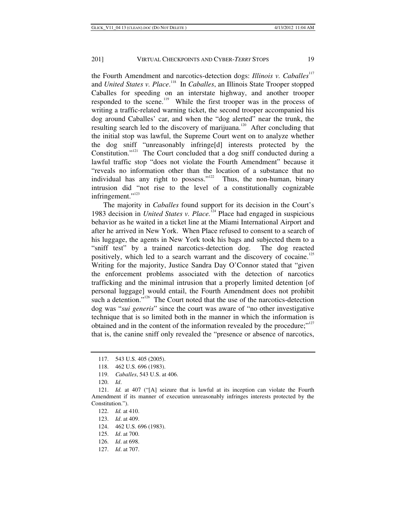the Fourth Amendment and narcotics-detection dogs: *Illinois v. Caballes*<sup>117</sup> and *United States v. Place*.<sup>118</sup> In *Caballes*, an Illinois State Trooper stopped Caballes for speeding on an interstate highway, and another trooper responded to the scene.<sup>119</sup> While the first trooper was in the process of writing a traffic-related warning ticket, the second trooper accompanied his dog around Caballes' car, and when the "dog alerted" near the trunk, the resulting search led to the discovery of marijuana.<sup>120</sup> After concluding that the initial stop was lawful, the Supreme Court went on to analyze whether the dog sniff "unreasonably infringe[d] interests protected by the Constitution."<sup>121</sup> The Court concluded that a dog sniff conducted during a lawful traffic stop "does not violate the Fourth Amendment" because it "reveals no information other than the location of a substance that no individual has any right to possess." $122$  Thus, the non-human, binary intrusion did "not rise to the level of a constitutionally cognizable infringement."<sup>123</sup>

The majority in *Caballes* found support for its decision in the Court's 1983 decision in *United States v. Place.*124 Place had engaged in suspicious behavior as he waited in a ticket line at the Miami International Airport and after he arrived in New York. When Place refused to consent to a search of his luggage, the agents in New York took his bags and subjected them to a "sniff test" by a trained narcotics-detection dog. The dog reacted positively, which led to a search warrant and the discovery of cocaine.<sup>125</sup> Writing for the majority, Justice Sandra Day O'Connor stated that "given the enforcement problems associated with the detection of narcotics trafficking and the minimal intrusion that a properly limited detention [of personal luggage] would entail, the Fourth Amendment does not prohibit such a detention."<sup>126</sup> The Court noted that the use of the narcotics-detection dog was "*sui generis*" since the court was aware of "no other investigative technique that is so limited both in the manner in which the information is obtained and in the content of the information revealed by the procedure;"<sup>127</sup> that is, the canine sniff only revealed the "presence or absence of narcotics,

 <sup>117. 543</sup> U.S. 405 (2005).

 <sup>118. 462</sup> U.S. 696 (1983).

<sup>119.</sup> *Caballes*, 543 U.S. at 406.

<sup>120.</sup> *Id*.

 <sup>121.</sup> *Id.* at 407 ("[A] seizure that is lawful at its inception can violate the Fourth Amendment if its manner of execution unreasonably infringes interests protected by the Constitution.").

<sup>122.</sup> *Id.* at 410.

<sup>123.</sup> *Id*. at 409.

 <sup>124. 462</sup> U.S. 696 (1983).

<sup>125.</sup> *Id*. at 700.

<sup>126.</sup> *Id*. at 698.

<sup>127.</sup> *Id*. at 707.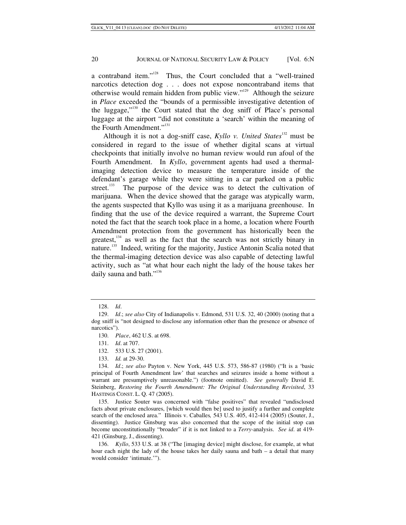a contraband item."128 Thus, the Court concluded that a "well-trained narcotics detection dog . . . does not expose noncontraband items that otherwise would remain hidden from public view."129 Although the seizure in *Place* exceeded the "bounds of a permissible investigative detention of the luggage,"130 the Court stated that the dog sniff of Place's personal luggage at the airport "did not constitute a 'search' within the meaning of the Fourth Amendment."<sup>131</sup>

Although it is not a dog-sniff case, *Kyllo v. United States*<sup>132</sup> must be considered in regard to the issue of whether digital scans at virtual checkpoints that initially involve no human review would run afoul of the Fourth Amendment. In *Kyllo*, government agents had used a thermalimaging detection device to measure the temperature inside of the defendant's garage while they were sitting in a car parked on a public street.<sup>133</sup> The purpose of the device was to detect the cultivation of marijuana. When the device showed that the garage was atypically warm, the agents suspected that Kyllo was using it as a marijuana greenhouse. In finding that the use of the device required a warrant, the Supreme Court noted the fact that the search took place in a home, a location where Fourth Amendment protection from the government has historically been the greatest, $134$  as well as the fact that the search was not strictly binary in nature.135 Indeed, writing for the majority, Justice Antonin Scalia noted that the thermal-imaging detection device was also capable of detecting lawful activity, such as "at what hour each night the lady of the house takes her daily sauna and bath."<sup>136</sup>

 135. Justice Souter was concerned with "false positives" that revealed "undisclosed facts about private enclosures, [which would then be] used to justify a further and complete search of the enclosed area." Illinois v. Caballes*,* 543 U.S. 405, 412-414 (2005) (Souter, J., dissenting). Justice Ginsburg was also concerned that the scope of the initial stop can become unconstitutionally "broader" if it is not linked to a *Terry-*analysis. *See id*. at 419- 421 (Ginsburg, J., dissenting).

136. *Kyllo*, 533 U.S. at 38 ("The [imaging device] might disclose, for example, at what hour each night the lady of the house takes her daily sauna and bath *–* a detail that many would consider 'intimate.'").

<sup>128.</sup> *Id*.

<sup>129.</sup> *Id*.; *see also* City of Indianapolis v. Edmond, 531 U.S. 32, 40 (2000) (noting that a dog sniff is "not designed to disclose any information other than the presence or absence of narcotics").

<sup>130.</sup> *Place*, 462 U.S. at 698.

<sup>131.</sup> *Id*. at 707.

 <sup>132. 533</sup> U.S. 27 (2001).

 <sup>133.</sup> *Id.* at 29-30.

<sup>134.</sup> *Id*.; *see also* Payton v. New York, 445 U.S. 573, 586-87 (1980) ("It is a 'basic principal of Fourth Amendment law' that searches and seizures inside a home without a warrant are presumptively unreasonable.") (footnote omitted). *See generally* David E. Steinberg, *Restoring the Fourth Amendment: The Original Understanding Revisited*, 33 HASTINGS CONST. L. Q. 47 (2005).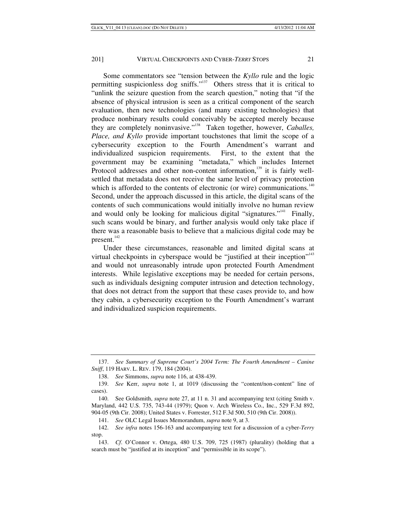Some commentators see "tension between the *Kyllo* rule and the logic permitting suspicionless dog sniffs."<sup>137</sup> Others stress that it is critical to "unlink the seizure question from the search question," noting that "if the absence of physical intrusion is seen as a critical component of the search evaluation, then new technologies (and many existing technologies) that produce nonbinary results could conceivably be accepted merely because they are completely noninvasive."138 Taken together, however, *Caballes, Place, and Kyllo* provide important touchstones that limit the scope of a cybersecurity exception to the Fourth Amendment's warrant and individualized suspicion requirements. First, to the extent that the government may be examining "metadata," which includes Internet Protocol addresses and other non-content information, $139$  it is fairly wellsettled that metadata does not receive the same level of privacy protection which is afforded to the contents of electronic (or wire) communications. $140$ Second, under the approach discussed in this article, the digital scans of the contents of such communications would initially involve no human review and would only be looking for malicious digital "signatures."<sup>141</sup> Finally, such scans would be binary, and further analysis would only take place if there was a reasonable basis to believe that a malicious digital code may be present.<sup>142</sup>

Under these circumstances, reasonable and limited digital scans at virtual checkpoints in cyberspace would be "justified at their inception"<sup>143</sup> and would not unreasonably intrude upon protected Fourth Amendment interests. While legislative exceptions may be needed for certain persons, such as individuals designing computer intrusion and detection technology, that does not detract from the support that these cases provide to, and how they cabin, a cybersecurity exception to the Fourth Amendment's warrant and individualized suspicion requirements.

<sup>137.</sup> *See Summary of Supreme Court's 2004 Term: The Fourth Amendment – Canine Sniff*, 119 HARV. L. REV. 179, 184 (2004).

<sup>138.</sup> *See* Simmons, *supra* note 116, at 438-439.

<sup>139.</sup> *See* Kerr, *supra* note 1, at 1019 (discussing the "content/non-content" line of cases).

<sup>140.</sup> See Goldsmith, *supra* note 27, at 11 n. 31 and accompanying text (citing Smith v. Maryland, 442 U.S. 735, 743-44 (1979); Quon v. Arch Wireless Co., Inc., 529 F.3d 892, 904-05 (9th Cir. 2008); United States v. Forrester, 512 F.3d 500, 510 (9th Cir. 2008)).

<sup>141.</sup> *See* OLC Legal Issues Memorandum, *supra* note 9, at 3.

<sup>142.</sup> *See infra* notes 156-163 and accompanying text for a discussion of a cyber-*Terry*  stop.

<sup>143.</sup> *Cf*. O'Connor v. Ortega, 480 U.S. 709, 725 (1987) (plurality) (holding that a search must be "justified at its inception" and "permissible in its scope").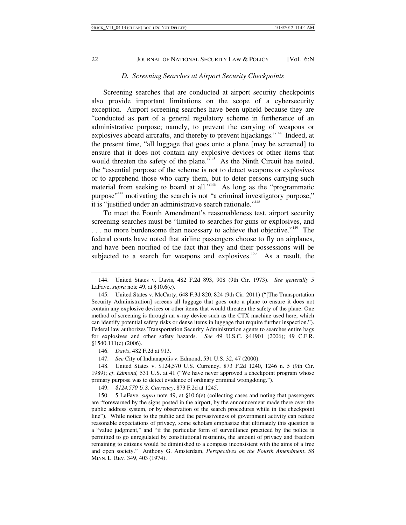## *D. Screening Searches at Airport Security Checkpoints*

Screening searches that are conducted at airport security checkpoints also provide important limitations on the scope of a cybersecurity exception. Airport screening searches have been upheld because they are "conducted as part of a general regulatory scheme in furtherance of an administrative purpose; namely, to prevent the carrying of weapons or explosives aboard aircrafts, and thereby to prevent hijackings."<sup>144</sup> Indeed, at the present time, "all luggage that goes onto a plane [may be screened] to ensure that it does not contain any explosive devices or other items that would threaten the safety of the plane."<sup>145</sup> As the Ninth Circuit has noted, the "essential purpose of the scheme is not to detect weapons or explosives or to apprehend those who carry them, but to deter persons carrying such material from seeking to board at all."<sup>146</sup> As long as the "programmatic purpose"<sup>147</sup> motivating the search is not "a criminal investigatory purpose," it is "justified under an administrative search rationale."<sup>148</sup>

To meet the Fourth Amendment's reasonableness test, airport security screening searches must be "limited to searches for guns or explosives, and ... no more burdensome than necessary to achieve that objective."<sup>149</sup> The federal courts have noted that airline passengers choose to fly on airplanes, and have been notified of the fact that they and their possessions will be subjected to a search for weapons and explosives.<sup>150</sup> As a result, the

147. *See* City of Indianapolis v. Edmond, 531 U.S. 32, 47 (2000).

 148. United States v. \$124,570 U.S. Currency, 873 F.2d 1240, 1246 n. 5 (9th Cir. 1989); *cf*. *Edmond,* 531 U.S. at 41 ("We have never approved a checkpoint program whose primary purpose was to detect evidence of ordinary criminal wrongdoing.").

 <sup>144.</sup> United States v. Davis, 482 F.2d 893, 908 (9th Cir. 1973). *See generally* 5 LaFave, *supra* note 49, at §10.6(c).

 <sup>145.</sup> United States v. McCarty, 648 F.3d 820, 824 (9th Cir. 2011) ("[The Transportation Security Administration] screens all luggage that goes onto a plane to ensure it does not contain any explosive devices or other items that would threaten the safety of the plane. One method of screening is through an x-ray device such as the CTX machine used here, which can identify potential safety risks or dense items in luggage that require further inspection."). Federal law authorizes Transportation Security Administration agents to searches entire bags for explosives and other safety hazards. *See* 49 U.S.C. §44901 (2006); 49 C.F.R. §1540.111(c) (2006).

<sup>146.</sup> *Davis*, 482 F.2d at 913.

<sup>149.</sup> *\$124,570 U.S. Currency*, 873 F.2d at 1245.

 <sup>150. 5</sup> LaFave, *supra* note 49, at §10.6(e) (collecting cases and noting that passengers are "forewarned by the signs posted in the airport, by the announcement made there over the public address system, or by observation of the search procedures while in the checkpoint line"). While notice to the public and the pervasiveness of government activity can reduce reasonable expectations of privacy, some scholars emphasize that ultimately this question is a "value judgment," and "if the particular form of surveillance practiced by the police is permitted to go unregulated by constitutional restraints, the amount of privacy and freedom remaining to citizens would be diminished to a compass inconsistent with the aims of a free and open society." Anthony G. Amsterdam, *Perspectives on the Fourth Amendment*, 58 MINN. L. REV. 349, 403 (1974).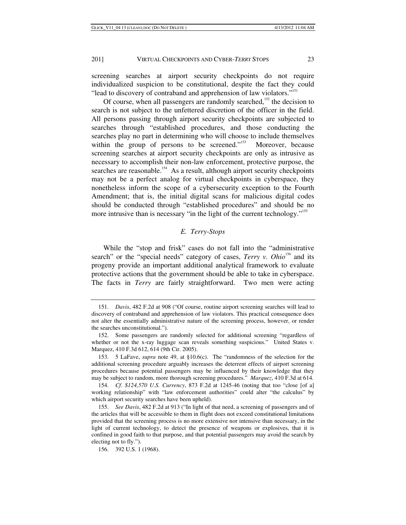screening searches at airport security checkpoints do not require individualized suspicion to be constitutional, despite the fact they could "lead to discovery of contraband and apprehension of law violators."<sup>151</sup>

Of course, when all passengers are randomly searched, $152$  the decision to search is not subject to the unfettered discretion of the officer in the field. All persons passing through airport security checkpoints are subjected to searches through "established procedures, and those conducting the searches play no part in determining who will choose to include themselves within the group of persons to be screened."<sup>153</sup> Moreover, because screening searches at airport security checkpoints are only as intrusive as necessary to accomplish their non-law enforcement, protective purpose, the searches are reasonable.<sup>154</sup> As a result, although airport security checkpoints may not be a perfect analog for virtual checkpoints in cyberspace, they nonetheless inform the scope of a cybersecurity exception to the Fourth Amendment; that is, the initial digital scans for malicious digital codes should be conducted through "established procedures" and should be no more intrusive than is necessary "in the light of the current technology."<sup>155</sup>

## *E. Terry-Stops*

While the "stop and frisk" cases do not fall into the "administrative search" or the "special needs" category of cases, *Terry v. Ohio*<sup>156</sup> and its progeny provide an important additional analytical framework to evaluate protective actions that the government should be able to take in cyberspace. The facts in *Terry* are fairly straightforward. Two men were acting

<sup>151.</sup> *Davis*, 482 F.2d at 908 ("Of course, routine airport screening searches will lead to discovery of contraband and apprehension of law violators. This practical consequence does not alter the essentially administrative nature of the screening process, however, or render the searches unconstitutional.").

 <sup>152.</sup> Some passengers are randomly selected for additional screening "regardless of whether or not the x-ray luggage scan reveals something suspicious." United States v. Marquez, 410 F.3d 612, 614 (9th Cir. 2005).

 <sup>153. 5</sup> LaFave, *supra* note 49, at §10.6(c). The "randomness of the selection for the additional screening procedure arguably increases the deterrent effects of airport screening procedures because potential passengers may be influenced by their knowledge that they may be subject to random, more thorough screening procedures." *Marquez*, 410 F.3d at 614.

<sup>154.</sup> *Cf*. *\$124,570 U.S. Currency*, 873 F.2d at 1245-46 (noting that too "close [of a] working relationship" with "law enforcement authorities" could alter "the calculus" by which airport security searches have been upheld).

<sup>155.</sup> *See Davis*, 482 F.2d at 913 ("In light of that need, a screening of passengers and of the articles that will be accessible to them in flight does not exceed constitutional limitations provided that the screening process is no more extensive nor intensive than necessary, in the light of current technology, to detect the presence of weapons or explosives, that it is confined in good faith to that purpose, and that potential passengers may avoid the search by electing not to fly.").

 <sup>156. 392</sup> U.S. 1 (1968).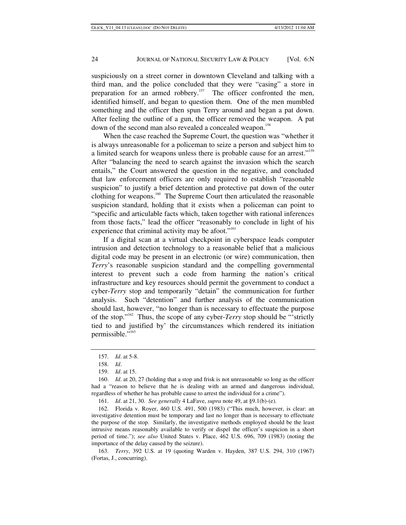suspiciously on a street corner in downtown Cleveland and talking with a third man, and the police concluded that they were "casing" a store in preparation for an armed robbery.<sup>157</sup> The officer confronted the men, identified himself, and began to question them. One of the men mumbled something and the officer then spun Terry around and began a pat down. After feeling the outline of a gun, the officer removed the weapon. A pat down of the second man also revealed a concealed weapon.<sup>158</sup>

When the case reached the Supreme Court, the question was "whether it is always unreasonable for a policeman to seize a person and subject him to a limited search for weapons unless there is probable cause for an arrest."<sup>159</sup> After "balancing the need to search against the invasion which the search entails," the Court answered the question in the negative, and concluded that law enforcement officers are only required to establish "reasonable suspicion" to justify a brief detention and protective pat down of the outer clothing for weapons.<sup>160</sup> The Supreme Court then articulated the reasonable suspicion standard, holding that it exists when a policeman can point to "specific and articulable facts which, taken together with rational inferences from those facts," lead the officer "reasonably to conclude in light of his experience that criminal activity may be afoot."<sup>161</sup>

If a digital scan at a virtual checkpoint in cyberspace leads computer intrusion and detection technology to a reasonable belief that a malicious digital code may be present in an electronic (or wire) communication, then *Terry*'s reasonable suspicion standard and the compelling governmental interest to prevent such a code from harming the nation's critical infrastructure and key resources should permit the government to conduct a cyber-*Terry* stop and temporarily "detain" the communication for further analysis. Such "detention" and further analysis of the communication should last, however, "no longer than is necessary to effectuate the purpose of the stop."162 Thus, the scope of any cyber-*Terry* stop should be "'strictly tied to and justified by' the circumstances which rendered its initiation permissible."<sup>163</sup>

<sup>157.</sup> *Id*. at 5-8.

<sup>158.</sup> *Id*.

<sup>159.</sup> *Id*. at 15.

<sup>160.</sup> *Id*. at 20, 27 (holding that a stop and frisk is not unreasonable so long as the officer had a "reason to believe that he is dealing with an armed and dangerous individual, regardless of whether he has probable cause to arrest the individual for a crime").

<sup>161.</sup> *Id*. at 21, 30. *See generally* 4 LaFave, *supra* note 49, at §9.1(b)-(e).

 <sup>162.</sup> Florida v. Royer, 460 U.S. 491, 500 (1983) ("This much, however, is clear: an investigative detention must be temporary and last no longer than is necessary to effectuate the purpose of the stop. Similarly, the investigative methods employed should be the least intrusive means reasonably available to verify or dispel the officer's suspicion in a short period of time."); *see also* United States v. Place, 462 U.S. 696, 709 (1983) (noting the importance of the delay caused by the seizure).

<sup>163.</sup> *Terry*, 392 U.S. at 19 (quoting Warden v. Hayden, 387 U.S. 294, 310 (1967) (Fortas, J., concurring).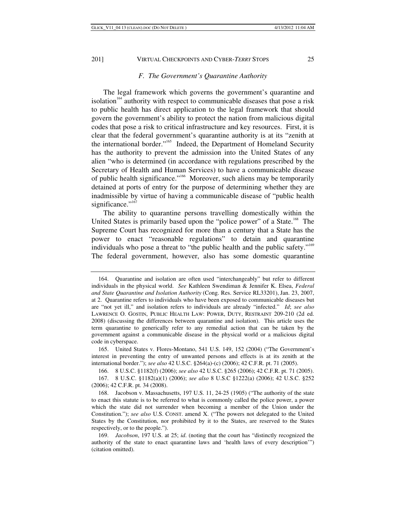# *F. The Government's Quarantine Authority*

The legal framework which governs the government's quarantine and isolation<sup> $164$ </sup> authority with respect to communicable diseases that pose a risk to public health has direct application to the legal framework that should govern the government's ability to protect the nation from malicious digital codes that pose a risk to critical infrastructure and key resources. First, it is clear that the federal government's quarantine authority is at its "zenith at the international border."165 Indeed, the Department of Homeland Security has the authority to prevent the admission into the United States of any alien "who is determined (in accordance with regulations prescribed by the Secretary of Health and Human Services) to have a communicable disease of public health significance."166 Moreover, such aliens may be temporarily detained at ports of entry for the purpose of determining whether they are inadmissible by virtue of having a communicable disease of "public health significance."<sup>167</sup>

The ability to quarantine persons travelling domestically within the United States is primarily based upon the "police power" of a State.<sup>168</sup> The Supreme Court has recognized for more than a century that a State has the power to enact "reasonable regulations" to detain and quarantine individuals who pose a threat to "the public health and the public safety."<sup>169</sup> The federal government, however, also has some domestic quarantine

 165. United States v. Flores-Montano, 541 U.S. 149, 152 (2004) ("The Government's interest in preventing the entry of unwanted persons and effects is at its zenith at the international border."); *see also* 42 U.S.C. §264(a)-(c) (2006); 42 C.F.R. pt. 71 (2005).

 <sup>164.</sup> Quarantine and isolation are often used "interchangeably" but refer to different individuals in the physical world. *See* Kathleen Swendiman & Jennifer K. Elsea, *Federal and State Quarantine and Isolation Authority* (Cong. Res. Service RL33201), Jan. 23, 2007, at 2. Quarantine refers to individuals who have been exposed to communicable diseases but are "not yet ill," and isolation refers to individuals are already "infected." *Id*; *see also*  LAWRENCE O. GOSTIN, PUBLIC HEALTH LAW: POWER, DUTY, RESTRAINT 209-210 (2d ed. 2008) (discussing the differences between quarantine and isolation). This article uses the term quarantine to generically refer to any remedial action that can be taken by the government against a communicable disease in the physical world or a malicious digital code in cyberspace.

 <sup>166. 8</sup> U.S.C. §1182(f) (2006); *see also* 42 U.S.C. §265 (2006); 42 C.F.R. pt. 71 (2005).

 <sup>167. 8</sup> U.S.C. §1182(a)(1) (2006); *see also* 8 U.S.C §1222(a) (2006); 42 U.S.C. §252 (2006); 42 C.F.R. pt. 34 (2008).

 <sup>168.</sup> Jacobson v. Massachusetts, 197 U.S. 11, 24-25 (1905) ("The authority of the state to enact this statute is to be referred to what is commonly called the police power, a power which the state did not surrender when becoming a member of the Union under the Constitution."); *see also* U.S. CONST. amend X. ("The powers not delegated to the United States by the Constitution, nor prohibited by it to the States, are reserved to the States respectively, or to the people.").

<sup>169.</sup> *Jacobson*, 197 U.S. at 25; *id*. (noting that the court has "distinctly recognized the authority of the state to enact quarantine laws and 'health laws of every description'") (citation omitted).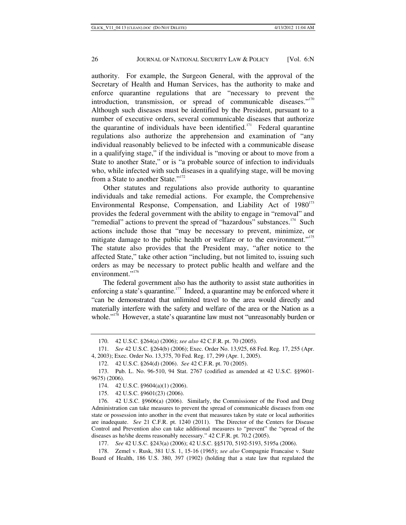authority. For example, the Surgeon General, with the approval of the Secretary of Health and Human Services, has the authority to make and enforce quarantine regulations that are "necessary to prevent the introduction, transmission, or spread of communicable diseases."<sup>170</sup> Although such diseases must be identified by the President, pursuant to a number of executive orders, several communicable diseases that authorize the quarantine of individuals have been identified.<sup>171</sup> Federal quarantine regulations also authorize the apprehension and examination of "any individual reasonably believed to be infected with a communicable disease in a qualifying stage," if the individual is "moving or about to move from a State to another State," or is "a probable source of infection to individuals who, while infected with such diseases in a qualifying stage, will be moving from a State to another State."<sup>172</sup>

Other statutes and regulations also provide authority to quarantine individuals and take remedial actions. For example, the Comprehensive Environmental Response, Compensation, and Liability Act of  $1980^{173}$ provides the federal government with the ability to engage in "removal" and "remedial" actions to prevent the spread of "hazardous" substances.<sup>174</sup> Such actions include those that "may be necessary to prevent, minimize, or mitigate damage to the public health or welfare or to the environment."<sup>175</sup> The statute also provides that the President may, "after notice to the affected State," take other action "including, but not limited to, issuing such orders as may be necessary to protect public health and welfare and the environment."<sup>176</sup>

The federal government also has the authority to assist state authorities in enforcing a state's quarantine.<sup>177</sup> Indeed, a quarantine may be enforced where it "can be demonstrated that unlimited travel to the area would directly and materially interfere with the safety and welfare of the area or the Nation as a whole."<sup>178</sup> However, a state's quarantine law must not "unreasonably burden or

 <sup>170. 42</sup> U.S.C. §264(a) (2006); *see also* 42 C.F.R. pt. 70 (2005).

<sup>171.</sup> *See* 42 U.S.C. §264(b) (2006); Exec. Order No. 13,925, 68 Fed. Reg. 17, 255 (Apr. 4, 2003); Exec. Order No. 13,375, 70 Fed. Reg. 17, 299 (Apr. 1, 2005).

 <sup>172. 42</sup> U.S.C. §264(d) (2006). *See* 42 C.F.R. pt. 70 (2005).

 <sup>173.</sup> Pub. L. No. 96-510, 94 Stat. 2767 (codified as amended at 42 U.S.C. §§9601- 9675) (2006).

 <sup>174. 42</sup> U.S.C. §9604(a)(1) (2006).

 <sup>175. 42</sup> U.S.C. §9601(23) (2006).

 <sup>176. 42</sup> U.S.C. §9606(a) (2006). Similarly, the Commissioner of the Food and Drug Administration can take measures to prevent the spread of communicable diseases from one state or possession into another in the event that measures taken by state or local authorities are inadequate. *See* 21 C.F.R. pt. 1240 (2011). The Director of the Centers for Disease Control and Prevention also can take additional measures to "prevent" the "spread of the diseases as he/she deems reasonably necessary." 42 C.F.R. pt. 70.2 (2005).

<sup>177.</sup> *See* 42 U.S.C. §243(a) (2006); 42 U.S.C. §§5170, 5192-5193, 5195a (2006).

 <sup>178.</sup> Zemel v. Rusk, 381 U.S. 1, 15-16 (1965); *see also* Compagnie Francaise v. State Board of Health, 186 U.S. 380, 397 (1902) (holding that a state law that regulated the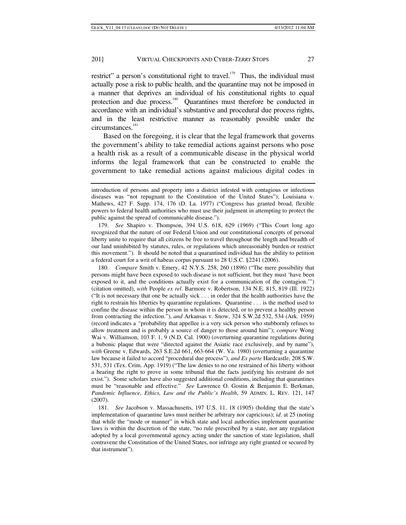restrict" a person's constitutional right to travel.<sup>179</sup> Thus, the individual must actually pose a risk to public health, and the quarantine may not be imposed in a manner that deprives an individual of his constitutional rights to equal protection and due process.<sup>180</sup> Quarantines must therefore be conducted in accordance with an individual's substantive and procedural due process rights, and in the least restrictive manner as reasonably possible under the circumstances.<sup>181</sup>

Based on the foregoing, it is clear that the legal framework that governs the government's ability to take remedial actions against persons who pose a health risk as a result of a communicable disease in the physical world informs the legal framework that can be constructed to enable the government to take remedial actions against malicious digital codes in

180. *Compare* Smith v. Emery, 42 N.Y.S. 258, 260 (1896) ("The mere possibility that persons might have been exposed to such disease is not sufficient, but they must 'have been exposed to it, and the conditions actually exist for a communication of the contagion.'") (citation omitted), *with* People *ex rel*. Barmore v. Robertson, 134 N.E. 815, 819 (Ill. 1922) ("It is not necessary that one be actually sick . . . in order that the health authorities have the right to restrain his liberties by quarantine regulations. Quarantine . . . is the method used to confine the disease within the person in whom it is detected, or to prevent a healthy person from contracting the infection."), *and* Arkansas v. Snow, 324 S.W.2d 532, 534 (Ark. 1959) (record indicates a *"*probability that appellee is a very sick person who stubbornly refuses to allow treatment and is probably a source of danger to those around him"); *compare* Wong Wai v. Williamson, 103 F. 1, 9 (N.D. Cal. 1900) (overturning quarantine regulations during a bubonic plaque that were "directed against the Asiatic race exclusively, and by name"), *with* Greene v. Edwards, 263 S.E.2d 661, 663-664 (W. Va. 1980) (overturning a quarantine law because it failed to accord "procedural due process"), *and Ex parte* Hardcastle, 208 S.W. 531, 531 (Tex. Crim. App. 1919) ("The law denies to no one restrained of his liberty without a hearing the right to prove in some tribunal that the facts justifying his restraint do not exist.").Some scholars have also suggested additional conditions, including that quarantines must be "reasonable and effective." *See* Lawrence O. Gostin & Benjamin E. Berkman, *Pandemic Influence, Ethics, Law and the Public's Health*, 59 ADMIN. L. REV. 121, 147 (2007).

181. *See* Jacobson v. Massachusetts, 197 U.S. 11, 18 (1905) (holding that the state's implementation of quarantine laws must neither be arbitrary nor capricious); *id*. at 25 (noting that while the "mode or manner" in which state and local authorities implement quarantine laws is within the discretion of the state, "no rule prescribed by a state, nor any regulation adopted by a local governmental agency acting under the sanction of state legislation, shall contravene the Constitution of the United States, nor infringe any right granted or secured by that instrument").

introduction of persons and property into a district infested with contagious or infectious diseases was "not repugnant to the Constitution of the United States"); Louisiana v. Mathews, 427 F. Supp. 174, 176 (D. La. 1977) ("Congress has granted broad, flexible powers to federal health authorities who must use their judgment in attempting to protect the public against the spread of communicable disease.").

<sup>179.</sup> *See* Shapiro v. Thompson, 394 U.S. 618, 629 (1969) ("This Court long ago recognized that the nature of our Federal Union and our constitutional concepts of personal liberty unite to require that all citizens be free to travel throughout the length and breadth of our land uninhibited by statutes, rules, or regulations which unreasonably burden or restrict this movement."). It should be noted that a quarantined individual has the ability to petition a federal court for a writ of habeas corpus pursuant to 28 U.S.C. §2241 (2006).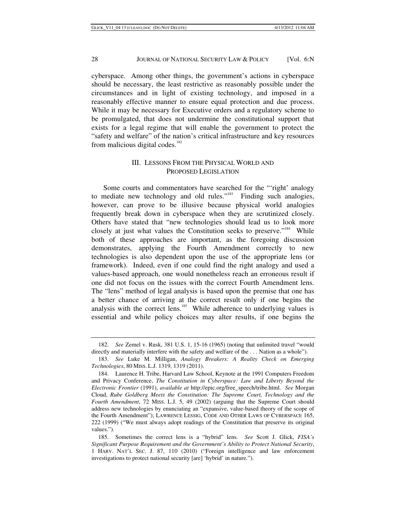cyberspace. Among other things, the government's actions in cyberspace should be necessary, the least restrictive as reasonably possible under the circumstances and in light of existing technology, and imposed in a reasonably effective manner to ensure equal protection and due process. While it may be necessary for Executive orders and a regulatory scheme to be promulgated, that does not undermine the constitutional support that exists for a legal regime that will enable the government to protect the "safety and welfare" of the nation's critical infrastructure and key resources from malicious digital codes. $182$ 

# III. LESSONS FROM THE PHYSICAL WORLD AND PROPOSED LEGISLATION

Some courts and commentators have searched for the "'right' analogy to mediate new technology and old rules."<sup>183</sup> Finding such analogies, however, can prove to be illusive because physical world analogies frequently break down in cyberspace when they are scrutinized closely. Others have stated that "new technologies should lead us to look more closely at just what values the Constitution seeks to preserve."<sup>184</sup> While both of these approaches are important, as the foregoing discussion demonstrates, applying the Fourth Amendment correctly to new technologies is also dependent upon the use of the appropriate lens (or framework). Indeed, even if one could find the right analogy and used a values-based approach, one would nonetheless reach an erroneous result if one did not focus on the issues with the correct Fourth Amendment lens. The "lens" method of legal analysis is based upon the premise that one has a better chance of arriving at the correct result only if one begins the analysis with the correct lens. $185$  While adherence to underlying values is essential and while policy choices may alter results, if one begins the

<sup>182.</sup> *See* Zemel v. Rusk, 381 U.S. 1, 15-16 (1965) (noting that unlimited travel "would directly and materially interfere with the safety and welfare of the . . . Nation as a whole").

<sup>183.</sup> *See* Luke M. Milligan, *Analogy Breakers: A Reality Check on Emerging Technologies*, 80 MISS. L.J. 1319, 1319 (2011).

 <sup>184.</sup> Laurence H. Tribe, Harvard Law School, Keynote at the 1991 Computers Freedom and Privacy Conference, *The Constitution in Cyberspace: Law and Liberty Beyond the Electronic Frontier* (1991), *available at* http://epic.org/free\_speech/tribe.html. *See* Morgan Cloud, *Rube Goldberg Meets the Constitution: The Supreme Court, Technology and the Fourth Amendment*, 72 MISS. L.J. 5, 49 (2002) (arguing that the Supreme Court should address new technologies by enunciating an "expansive, value-based theory of the scope of the Fourth Amendment"); LAWRENCE LESSIG, CODE AND OTHER LAWS OF CYBERSPACE 165, 222 (1999) ("We must always adopt readings of the Constitution that preserve its original values.").

 <sup>185.</sup> Sometimes the correct lens is a "hybrid" lens. *See* Scott J. Glick, *FISA's Significant Purpose Requirement and the Government's Ability to Protect National Security*, 1 HARV. NAT'L SEC. J. 87, 110 (2010) ("Foreign intelligence and law enforcement investigations to protect national security [are] 'hybrid' in nature.").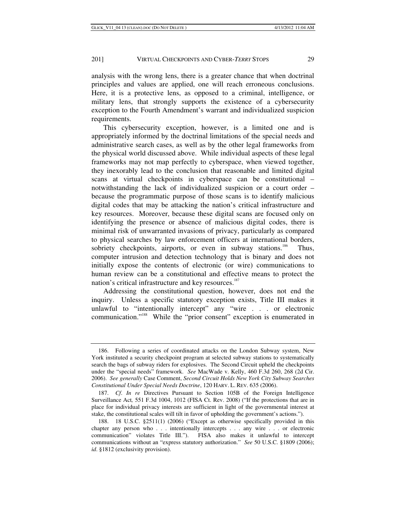analysis with the wrong lens, there is a greater chance that when doctrinal principles and values are applied, one will reach erroneous conclusions. Here, it is a protective lens, as opposed to a criminal, intelligence, or military lens, that strongly supports the existence of a cybersecurity exception to the Fourth Amendment's warrant and individualized suspicion requirements.

This cybersecurity exception, however, is a limited one and is appropriately informed by the doctrinal limitations of the special needs and administrative search cases, as well as by the other legal frameworks from the physical world discussed above. While individual aspects of these legal frameworks may not map perfectly to cyberspace, when viewed together, they inexorably lead to the conclusion that reasonable and limited digital scans at virtual checkpoints in cyberspace can be constitutional – notwithstanding the lack of individualized suspicion or a court order – because the programmatic purpose of those scans is to identify malicious digital codes that may be attacking the nation's critical infrastructure and key resources. Moreover, because these digital scans are focused only on identifying the presence or absence of malicious digital codes, there is minimal risk of unwarranted invasions of privacy, particularly as compared to physical searches by law enforcement officers at international borders, sobriety checkpoints, airports, or even in subway stations.<sup>186</sup> Thus, computer intrusion and detection technology that is binary and does not initially expose the contents of electronic (or wire) communications to human review can be a constitutional and effective means to protect the nation's critical infrastructure and key resources.<sup>187</sup>

Addressing the constitutional question, however, does not end the inquiry. Unless a specific statutory exception exists, Title III makes it unlawful to "intentionally intercept" any "wire . . . or electronic communication."<sup>188</sup> While the "prior consent" exception is enumerated in

 <sup>186.</sup> Following a series of coordinated attacks on the London Subway system, New York instituted a security checkpoint program at selected subway stations to systematically search the bags of subway riders for explosives. The Second Circuit upheld the checkpoints under the "special needs" framework. *See* MacWade v. Kelly, 460 F.3d 260, 268 (2d Cir. 2006). *See generally* Case Comment, *Second Circuit Holds New York City Subway Searches Constitutional Under Special Needs Doctrine*, 120 HARV. L. REV. 635 (2006).

<sup>187.</sup> *Cf*. *In re* Directives Pursuant to Section 105B of the Foreign Intelligence Surveillance Act*,* 551 F.3d 1004, 1012 (FISA Ct. Rev. 2008) ("If the protections that are in place for individual privacy interests are sufficient in light of the governmental interest at stake, the constitutional scales will tilt in favor of upholding the government's actions.").

 <sup>188. 18</sup> U.S.C. §2511(1) (2006) ("Except as otherwise specifically provided in this chapter any person who . . . intentionally intercepts . . . any wire . . . or electronic communication" violates Title III."). FISA also makes it unlawful to intercept communications without an "express statutory authorization." *See* 50 U.S.C. §1809 (2006); *id*. §1812 (exclusivity provision).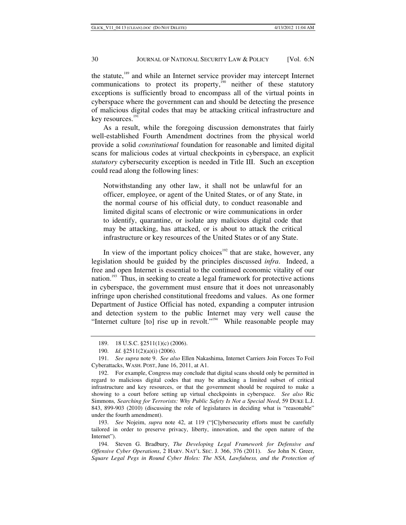the statute,<sup>189</sup> and while an Internet service provider may intercept Internet communications to protect its property, $\frac{1}{100}$  neither of these statutory exceptions is sufficiently broad to encompass all of the virtual points in cyberspace where the government can and should be detecting the presence of malicious digital codes that may be attacking critical infrastructure and key resources.<sup>191</sup>

As a result, while the foregoing discussion demonstrates that fairly well-established Fourth Amendment doctrines from the physical world provide a solid *constitutional* foundation for reasonable and limited digital scans for malicious codes at virtual checkpoints in cyberspace, an explicit *statutory* cybersecurity exception is needed in Title III. Such an exception could read along the following lines:

Notwithstanding any other law, it shall not be unlawful for an officer, employee, or agent of the United States, or of any State, in the normal course of his official duty, to conduct reasonable and limited digital scans of electronic or wire communications in order to identify, quarantine, or isolate any malicious digital code that may be attacking, has attacked, or is about to attack the critical infrastructure or key resources of the United States or of any State.

In view of the important policy choices<sup> $192$ </sup> that are stake, however, any legislation should be guided by the principles discussed *infra*. Indeed, a free and open Internet is essential to the continued economic vitality of our nation.<sup>193</sup> Thus, in seeking to create a legal framework for protective actions in cyberspace, the government must ensure that it does not unreasonably infringe upon cherished constitutional freedoms and values. As one former Department of Justice Official has noted, expanding a computer intrusion and detection system to the public Internet may very well cause the "Internet culture [to] rise up in revolt."<sup>194</sup> While reasonable people may

193. *See* Nojeim, *supra* note 42, at 119 ("[C]ybersecurity efforts must be carefully tailored in order to preserve privacy, liberty, innovation, and the open nature of the Internet").

 <sup>189. 18</sup> U.S.C. §2511(1)(c) (2006).

 <sup>190.</sup> *Id.* §2511(2)(a)(i) (2006).

<sup>191.</sup> *See supra* note 9. *See also* Ellen Nakashima, Internet Carriers Join Forces To Foil Cyberattacks, WASH. POST, June 16, 2011, at A1.

 <sup>192.</sup> For example, Congress may conclude that digital scans should only be permitted in regard to malicious digital codes that may be attacking a limited subset of critical infrastructure and key resources, or that the government should be required to make a showing to a court before setting up virtual checkpoints in cyberspace. *See also* Ric Simmons*, Searching for Terrorists: Why Public Safety Is Not a Special Need*, 59 DUKE L.J. 843, 899-903 (2010) (discussing the role of legislatures in deciding what is "reasonable" under the fourth amendment).

 <sup>194.</sup> Steven G. Bradbury, *The Developing Legal Framework for Defensive and Offensive Cyber Operations*, 2 HARV. NAT'L SEC. J. 366, 376 (2011). *See* John N. Greer, *Square Legal Pegs in Round Cyber Holes: The NSA, Lawfulness, and the Protection of*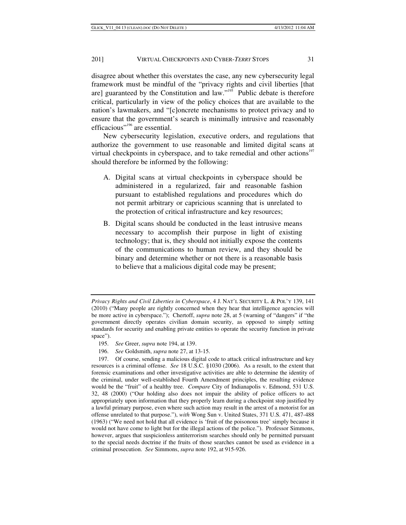disagree about whether this overstates the case, any new cybersecurity legal framework must be mindful of the "privacy rights and civil liberties [that are] guaranteed by the Constitution and  $law.'''^{195}$  Public debate is therefore critical, particularly in view of the policy choices that are available to the nation's lawmakers, and "[c]oncrete mechanisms to protect privacy and to ensure that the government's search is minimally intrusive and reasonably efficacious"<sup>196</sup> are essential.

New cybersecurity legislation, executive orders, and regulations that authorize the government to use reasonable and limited digital scans at virtual checkpoints in cyberspace, and to take remedial and other actions<sup>197</sup> should therefore be informed by the following:

- A. Digital scans at virtual checkpoints in cyberspace should be administered in a regularized, fair and reasonable fashion pursuant to established regulations and procedures which do not permit arbitrary or capricious scanning that is unrelated to the protection of critical infrastructure and key resources;
- B. Digital scans should be conducted in the least intrusive means necessary to accomplish their purpose in light of existing technology; that is, they should not initially expose the contents of the communications to human review, and they should be binary and determine whether or not there is a reasonable basis to believe that a malicious digital code may be present;

196. *See* Goldsmith, *supra* note 27, at 13-15.

*Privacy Rights and Civil Liberties in Cyberspace*, 4 J. NAT'L SECURITY L. & POL'Y 139, 141 (2010) ("Many people are rightly concerned when they hear that intelligence agencies will be more active in cyberspace."); Chertoff, *supra* note 28, at 5 (warning of "dangers" if "the government directly operates civilian domain security, as opposed to simply setting standards for security and enabling private entities to operate the security function in private space").

<sup>195.</sup> *See* Greer, *supra* note 194, at 139.

 <sup>197.</sup> Of course, sending a malicious digital code to attack critical infrastructure and key resources is a criminal offense. *See* 18 U.S.C. §1030 (2006). As a result, to the extent that forensic examinations and other investigative activities are able to determine the identity of the criminal, under well-established Fourth Amendment principles, the resulting evidence would be the "fruit" of a healthy tree. *Compare* City of Indianapolis v. Edmond, 531 U.S. 32, 48 (2000) ("Our holding also does not impair the ability of police officers to act appropriately upon information that they properly learn during a checkpoint stop justified by a lawful primary purpose, even where such action may result in the arrest of a motorist for an offense unrelated to that purpose."), *with* Wong Sun v. United States, 371 U.S. 471, 487-488 (1963) ("We need not hold that all evidence is 'fruit of the poisonous tree' simply because it would not have come to light but for the illegal actions of the police."). Professor Simmons, however, argues that suspicionless antiterrorism searches should only be permitted pursuant to the special needs doctrine if the fruits of those searches cannot be used as evidence in a criminal prosecution. *See* Simmons, *supra* note 192, at 915-926.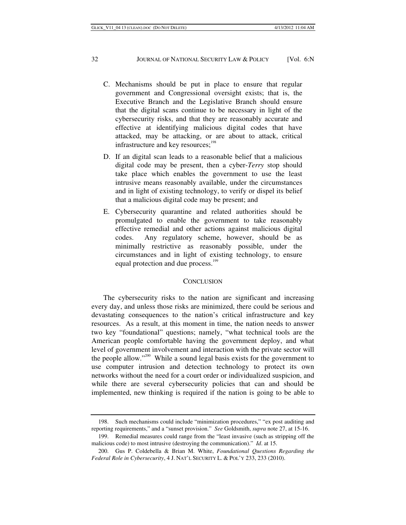- C. Mechanisms should be put in place to ensure that regular government and Congressional oversight exists; that is, the Executive Branch and the Legislative Branch should ensure that the digital scans continue to be necessary in light of the cybersecurity risks, and that they are reasonably accurate and effective at identifying malicious digital codes that have attacked, may be attacking, or are about to attack, critical infrastructure and key resources;<sup>198</sup>
- D. If an digital scan leads to a reasonable belief that a malicious digital code may be present, then a cyber-*Terry* stop should take place which enables the government to use the least intrusive means reasonably available, under the circumstances and in light of existing technology, to verify or dispel its belief that a malicious digital code may be present; and
- E. Cybersecurity quarantine and related authorities should be promulgated to enable the government to take reasonably effective remedial and other actions against malicious digital codes. Any regulatory scheme, however, should be as minimally restrictive as reasonably possible, under the circumstances and in light of existing technology, to ensure equal protection and due process.<sup>199</sup>

#### **CONCLUSION**

The cybersecurity risks to the nation are significant and increasing every day, and unless those risks are minimized, there could be serious and devastating consequences to the nation's critical infrastructure and key resources. As a result, at this moment in time, the nation needs to answer two key "foundational" questions; namely, "what technical tools are the American people comfortable having the government deploy, and what level of government involvement and interaction with the private sector will the people allow."200 While a sound legal basis exists for the government to use computer intrusion and detection technology to protect its own networks without the need for a court order or individualized suspicion, and while there are several cybersecurity policies that can and should be implemented, new thinking is required if the nation is going to be able to

 <sup>198.</sup> Such mechanisms could include "minimization procedures," "ex post auditing and reporting requirements," and a "sunset provision." *See* Goldsmith, *supra* note 27, at 15-16.

 <sup>199.</sup> Remedial measures could range from the "least invasive (such as stripping off the malicious code) to most intrusive (destroying the communication)." *Id*. at 15.

 <sup>200.</sup> Gus P. Coldebella & Brian M. White, *Foundational Questions Regarding the Federal Role in Cybersecurity*, 4 J. NAT'L SECURITY L. & POL'Y 233, 233 (2010).